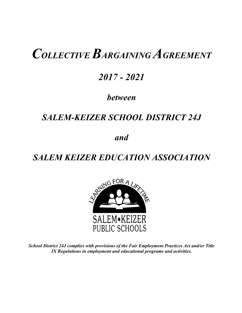# *COLLECTIVE BARGAINING AGREEMENT*

## *2017 - 2021*

### *between*

### *SALEM-KEIZER SCHOOL DISTRICT 24J*

*and*

## *SALEM KEIZER EDUCATION ASSOCIATION*



*School District 24J complies with provisions of the Fair Employment Practices Act and/or Title IX Regulations in employment and educational programs and activities.*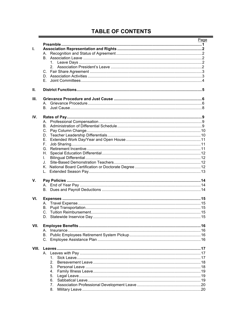### **TABLE OF CONTENTS**

|       |          | Page |
|-------|----------|------|
|       |          |      |
| Τ.    |          |      |
|       |          |      |
|       |          |      |
|       |          |      |
|       |          |      |
|       |          |      |
|       |          |      |
|       | E.       |      |
| Ш.    |          |      |
|       |          |      |
| III.  |          |      |
|       |          |      |
|       |          |      |
| IV.   |          |      |
|       | А.       |      |
|       | В.       |      |
|       |          |      |
|       |          |      |
|       | Е.       |      |
|       | F.       |      |
|       |          |      |
|       |          |      |
|       | L.       |      |
|       | J.       |      |
|       |          |      |
|       | L.       |      |
| V.    |          |      |
|       |          |      |
|       |          |      |
|       |          |      |
| VI.   |          |      |
|       |          |      |
|       |          |      |
|       |          |      |
|       |          |      |
| VII.  |          |      |
|       |          |      |
|       | В.       |      |
|       |          |      |
|       |          |      |
| VIII. |          |      |
|       |          |      |
|       | 1.       |      |
|       | 2.       |      |
|       | 3.       |      |
|       | 4.       |      |
|       | 5.       |      |
|       | 6.<br>7. |      |
|       | 8.       |      |
|       |          |      |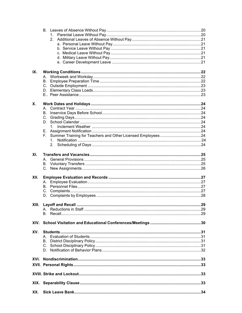| IX.  |                                |    |
|------|--------------------------------|----|
|      |                                |    |
|      |                                |    |
|      |                                |    |
|      |                                |    |
|      |                                |    |
| Х.   |                                |    |
|      |                                |    |
|      | В.                             |    |
|      |                                |    |
|      |                                |    |
|      |                                |    |
|      |                                |    |
|      | F.                             |    |
|      |                                |    |
|      |                                |    |
|      |                                |    |
| XI.  |                                |    |
|      |                                |    |
|      |                                |    |
|      |                                |    |
|      |                                |    |
| XII. |                                |    |
|      |                                |    |
|      |                                |    |
|      |                                |    |
|      |                                |    |
|      |                                |    |
|      | <b>XIII.</b> Layoff and Recall | 29 |
|      |                                |    |
|      |                                |    |
|      |                                |    |
|      |                                |    |
| XV.  |                                |    |
|      |                                |    |
|      |                                |    |
|      |                                |    |
|      |                                |    |
|      |                                |    |
|      |                                |    |
|      |                                |    |
|      |                                |    |
|      |                                |    |
|      |                                |    |
|      |                                |    |
|      |                                |    |
|      |                                |    |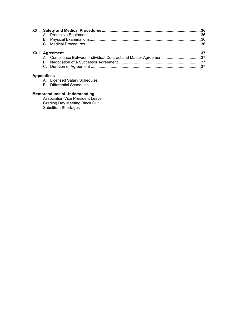| A. Compliance Between Individual Contract and Master Agreement 37 |  |
|-------------------------------------------------------------------|--|
|                                                                   |  |
|                                                                   |  |

#### **Appendices**

- A. Licensed Salary Schedules
- B. Differential Schedules

### **Memorandums of Understanding**

Association Vice President Leave Grading Day Meeting Black Out Substitute Shortages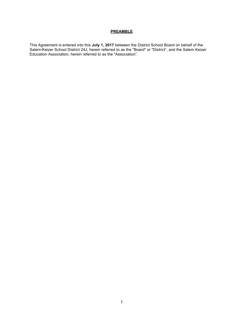#### **PREAMBLE**

This Agreement is entered into this **July 1, 2017** between the District School Board on behalf of the Salem-Keizer School District 24J, herein referred to as the "Board" or "District", and the Salem Keizer Education Association, herein referred to as the "Association".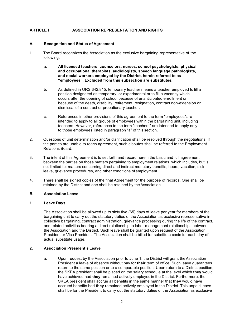#### **ARTICLE I ASSOCIATION REPRESENTATION AND RIGHTS**

#### **A. Recognition and Status of Agreement**

- 1. The Board recognizes the Association as the exclusive bargaining representative of the following:
	- a. **All licensed teachers, counselors, nurses, school psychologists, physical and occupational therapists, audiologists, speech language pathologists, and social workers employed by the District, herein referred to as "employees". Excluded from this subsection are substitutes.**
	- b. As defined in ORS 342.815, temporary teacher means a teacher employed to fill a position designated as temporary, or experimental or to fill a vacancy which occurs after the opening of school because of unanticipated enrollment or because of the death, disability, retirement, resignation, contract non-extension or dismissal of a contract or probationary teacher.
	- c. References in other provisions of this agreement to the term "employees"are intended to apply to all groups of employees within the bargaining unit, including teachers. However, references to the term "teachers" are intended to apply only to those employees listed in paragraph "a" of this section.
- 2. Questions of unit determination and/or clarification shall be resolved through the negotiations. If the parties are unable to reach agreement, such disputes shall be referred to the Employment Relations Board.
- 3. The intent of this Agreement is to set forth and record herein the basic and full agreement between the parties on those matters pertaining to employment relations, which includes, but is not limited to: matters concerning direct and indirect monetary benefits, hours, vacation, sick leave, grievance procedures, and other conditions of employment.
- 4. There shall be signed copies of the final Agreement for the purpose of records. One shall be retained by the District and one shall be retained by the Association.

#### **B. Association Leave**

#### **1. Leave Days**

The Association shall be allowed up to sixty five (65) days of leave per year for members of the bargaining unit to carry out the statutory duties of the Association as exclusive representative in collective bargaining, contract administration, grievance processing during the life of the contract, and related activities bearing a direct relationship to labor-management relationships between the Association and the District. Such leave shall be granted upon request of the Association President or Vice President. The Association shall be billed for substitute costs for each day of actual substitute usage.

#### **2. Association President's Leave**

a. Upon request by the Association prior to June 1, the District will grant theAssociation President a leave of absence without pay for **their** term of office. Such leave guarantees return to the same position or to a comparable position. Upon return to a District position, the SKEA president shall be placed on the salary schedule at the level which **they** would have achieved had **they** remained actively employedin the District. Furthermore, the SKEA president shall accrue all benefits in the same manner that **they** would have accrued benefits had **they** remained actively employed in the District. This unpaid leave shall be for the President to carry out the statutory duties of the Association as exclusive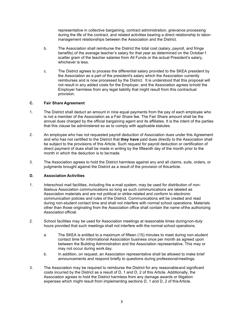representative in collective bargaining, contract administration, grievance processing during the life of the contract, and related activities bearing a direct relationship to labormanagement relationships between the Association and the District.

- b. The Association shall reimburse the District the total cost (salary, payroll, and fringe benefits) of the average teacher's salary for that year as determined on the October1 scatter gram of the teacher salaries from All Funds or the actual President's salary, whichever is less.
- c. The District agrees to process the differential salary provided to the SKEA president by the Association as a part of the president's salary which the Association currently reimburses and is now processed by the District. It is understood that this proposal will not result in any added costs for the Employer, and the Association agrees tohold the Employer harmless from any legal liability that might result from this contractual provision.

#### **C. Fair Share Agreement**

- 1. The District shall deduct an amount in nine equal payments from the pay of each employee who is not a member of the Association as a Fair Share fee. The Fair Share amount shall be the annual dues charged by the official bargaining agent and its affiliates. It is the intent of the parties that this clause be administered so as to comply with applicable statutes.
- 2. An employee who has not requested payroll deduction of Association dues under this Agreement and who has not certified to the District that **they have** paid dues directly to the Association shall be subject to the provisions of this Article. Such request for payroll deduction or certification of direct payment of dues shall be made in writing by the fifteenth day of the month prior to the month in which the deduction is to be made.
- 3. The Association agrees to hold the District harmless against any and all claims, suits, orders, or judgments brought against the District as a result of the provision of thisarticle.

#### **D. Association Activities**

- 1. Interschool mail facilities, including the e-mail system, may be used for distribution of nonlibelous Association communications so long as such communications are labeled as Association materials and are not political or strike-related and conform to electronic communication policies and rules of the District. Communications will be created and read during non-student contact time and shall not interfere with normal school operations. Materials other than those originating from the Association office shall contain the name ofthe authorizing Association official.
- 2. School facilities may be used for Association meetings at reasonable times duringnon-duty hours provided that such meetings shall not interfere with the normal school operations.
	- a. The SKEA is entitled to a maximum of fifteen (15) minutes to meet during non-student contact time for informational Association business once per month as agreed upon between the Building Administration and the Association representative. This may or may not occur during work day.
	- b. In addition, on request, an Association representative shall be allowed to make brief announcements and respond briefly to questions during professionalmeetings.
- 3. The Association may be required to reimburse the District for any reasonableand significant costs incurred by the District as a result of D, 1 and D, 2 of this Article. Additionally, the Association agrees to hold the District harmless from any damage awards or litigation expenses which might result from implementing sections D, 1 and D, 2 of thisArticle.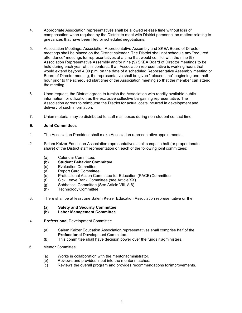- 4. Appropriate Association representatives shall be allowed release time without loss of compensation when required by the District to meet with District personnel on mattersrelating to grievances that have been filed or scheduled negotiations.
- 5. Association Meetings: Association Representative Assembly and SKEA Board of Director meetings shall be placed on the District calendar. The District shall not schedule any "required attendance" meetings for representatives at a time that would conflict with the nine (9) Association Representative Assembly and/or nine (9) SKEA Board of Director meetings to be held during each year of this contract. If an Association representative is working hours that would extend beyond 4:00 p.m. on the date of a scheduled Representative Assembly meeting or Board of Director meeting, the representative shall be given "release time" beginning one- half hour prior to the scheduled start time of the Association meeting so that the member can attend the meeting.
- 6. Upon request, the District agrees to furnish the Association with readily available public information for utilization as the exclusive collective bargaining representative. The Association agrees to reimburse the District for actual costs incurred in development and delivery of such information.
- 7. Union material maybe distributed to staff mail boxes during non-student contact time.

#### **E. Joint Committees**

- 1. The Association President shall make Association representative appointments.
- 2. Salem Keizer Education Association representatives shall comprise half (or proportionate share) of the District staff representation on each of the following joint committees:
	- (a) Calendar Committee;
	- **(b) Student Behavior Committee**
	- (c) Evaluation Committee
	- (d) Report Card Committee;
	- (e) Professional Action Committee for Education (PACE) Committee
	- (f) Sick Leave Bank Committee (see Article XX)
	- (g) Sabbatical Committee (See Article VIII, A.6)
	- (h) Technology Committee
- 3. There shall be at least one Salem Keizer Education Association representative onthe:
	- **(a) Safety and Security Committee**
	- **(b) Labor Management Committee**
- 4. **Professional** Development Committee
	- (a) Salem Keizer Education Association representatives shall comprise half of the **Professional** Development Committee.
	- (b) This committee shall have decision power over the funds it administers.
- 5. Mentor Committee
	- (a) Works in collaboration with the mentor administrator.<br>(b) Reviews and provides input into the mentor matches.
	- Reviews and provides input into the mentor matches.
	- (c) Reviews the overall program and provides recommendations forimprovements.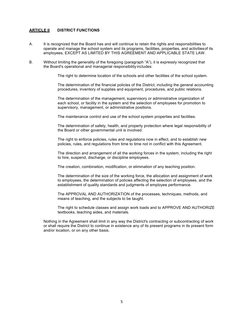#### **ARTICLE II DISTRICT FUNCTIONS**

- A. It is recognized that the Board has and will continue to retain the rights and responsibilities to operate and manage the school system and its programs, facilities, properties, and activitiesof its employees, EXCEPT AS LIMITED BY THIS AGREEMENT AND APPLICABLE STATE LAW.
- B. Without limiting the generality of the foregoing (paragraph "A"), it is expressly recognized that the Board's operational and managerial responsibility includes:

The right to determine location of the schools and other facilities of the school system.

The determination of the financial policies of the District, including the general accounting procedures, inventory of supplies and equipment, procedures, and public relations.

The determination of the management, supervisory or administrative organization of each school, or facility in the system and the selection of employees for promotion to supervisory, management, or administrative positions.

The maintenance control and use of the school system properties and facilities.

The determination of safety, health, and property protection where legal responsibility of the Board or other governmental unit is involved.

The right to enforce policies, rules and regulations now in effect, and to establish new policies, rules, and regulations from time to time not in conflict with this Agreement.

The direction and arrangement of all the working forces in the system, including the right to hire, suspend, discharge, or discipline employees.

The creation, combination, modification, or elimination of any teaching position.

The determination of the size of the working force, the allocation and assignment of work to employees, the determination of policies affecting the selection of employees, and the establishment of quality standards and judgments of employee performance.

The APPROVAL AND AUTHORIZATION of the processes, techniques, methods, and means of teaching, and the subjects to be taught.

The right to schedule classes and assign work loads and to APPROVE AND AUTHORIZE textbooks, teaching aides, and materials.

Nothing in the Agreement shall limit in any way the District's contracting or subcontracting of work or shall require the District to continue in existence any of its present programs in its present form and/or location, or on any other basis.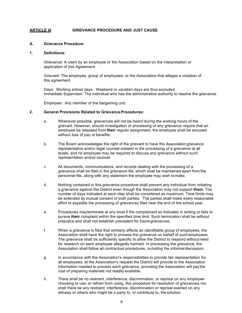#### **ARTICLE III GRIEVANCE PROCEDURE AND JUST CAUSE**

#### **A. Grievance Procedure**

#### **1. Definitions:**

Grievance: A claim by an employee or the Association based on the interpretation or application of this Agreement.

Grievant: The employee, group of employees, or the Association that alleges a violation of this agreement.

Days: Working school days. Weekend or vacation days are thus excluded. Immediate Supervisor: The individual who has the administrative authority to resolve the grievance.

Employee: Any member of the bargaining unit.

#### **2. General Provisions Related to GrievanceProcedures:**

- a. Whenever possible, grievances will not be heard during the working hours of the grievant. However, should investigation or processing of any grievance require that an employee be released from **their** regular assignment, the employee shall be excused without loss of pay or benefits.
- b. The Board acknowledges the right of the grievant to have the Association grievance representative and/or legal counsel present in the processing of a grievance at all levels, and no employee may be required to discuss any grievance without such representation and/or counsel.
- c. All documents, communications, and records dealing with the processing of a grievance shall be filed in the grievance file, which shall be maintained apart from the personnel file, along with any statement the employee may wish tomake.
- d. Nothing contained in this grievance procedure shall prevent any individual from initiating a grievance against the District even though the Association may not support **them.** The number of days indicated at each step shall be considered as maximum. Time limits may be extended by mutual consent of both parties. The parties shall make every reasonable effort to expedite the processing of grievances filed near the end of the school year.
- e. Procedures mayterminate at any level if the complainant so indicates in writing or fails to pursue **their** complaint within the specified time limit. Such termination shall be without prejudice and shall not establish precedent for futuregrievances.
- f. When a grievance is filed that similarly affects an identifiable group of employees, the Association shall have the right to process the grievance on behalf of such employees. The grievance shall be sufficiently specific to allow the District to respond withoutneed for research on each employee allegedly harmed. In processing the grievance, the Association shall follow all contractual procedures, including the informaldiscussion.
- g. In accordance with the Association's responsibilities to provide fair representation for all employees, at the Association's request the District will provide to the Association information needed to process each grievance, providing the Association will pay the cost of preparing materials not readily available.
- h. There shall be no restraint, interference, discrimination, or reprisal on any employee choosing to use, or refrain from using, this procedure for resolution of grievances,nor shall there be any restraint, interference, discrimination or reprisal exerted on any witness or others who might be a party to, or contribute to, the solution.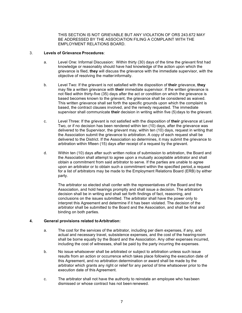THIS SECTION IS NOT GRIEVABLE BUT ANY VIOLATION OF ORS 243.672 MAY BE ADDRESSED BY THE ASSOCIATION FILING A COMPLAINT WITH THE EMPLOYMENT RELATIONS BOARD.

#### 3. **Levels of Grievance Procedures**:

- a. Level One: Informal Discussion: Within thirty (30) days of the time the grievant first had knowledge or reasonably should have had knowledge of the action upon which the grievance is filed, **they** will discuss the grievance with the immediate supervisor, with the objective of resolving the matterinformally.
- b. Level Two: If the grievant is not satisfied with the disposition of **their** grievance, **they** may file a written grievance with **their** immediate supervisor. If the written grievance is not filed within thirty-five (35) days after the act or condition on which the grievance is based becomes known to the grievant, the grievance shall be considered as waived. This written grievance shall set forth the specific grounds upon which the complaint is based, the contract clauses involved, and the remedy requested. The immediate supervisor shall communicate **their** decision in writing within five (5)days to the grievant.
- c. Level Three: If the grievant is not satisfied with the disposition of **their** grievance at Level Two, or if no decision has been rendered within ten (10) days, after the grievance was delivered to the Supervisor, the grievant may, within ten (10) days, request in writing that the Association submit the grievance to arbitration. A copy of each request shall be delivered to the District. If the Association so determines, it may submit the grievance to arbitration within fifteen (15) days after receipt of a request by the grievant.
- d. Within ten (10) days after such written notice of submission to arbitration, the Board and the Association shall attempt to agree upon a mutually acceptable arbitrator and shall obtain a commitment from said arbitrator to serve. If the parties are unable to agree upon an arbitrator or to obtain such a commitment within the specified period,a request for a list of arbitrators may be made to the Employment Relations Board (ERB) by either party.

The arbitrator so elected shall confer with the representatives of the Board and the Association, and hold hearings promptly and shall issue a decision. The arbitrator's decision shall be in writing and shall set forth findings of fact, reasoning, and conclusions on the issues submitted. The arbitrator shall have the power only to interpret this Agreement and determine if it has been violated. The decision of the arbitrator shall be submitted to the Board and the Association, and shall be final and binding on both parties.

#### **4. General provisions related to Arbitration:**

- a. The cost for the services of the arbitrator, including per diem expenses, if any, and actual and necessary travel, subsistence expenses, and the cost of the hearingroom shall be borne equally by the Board and the Association. Any other expenses incurred, including the cost of witnesses, shall be paid by the party incurring the expenses.
- b. No issue whatsoever shall be arbitrated or subject to arbitration unless such issue results from an action or occurrence which takes place following the execution date of this Agreement, and no arbitration determination or award shall be made by the arbitrator which grants any right or relief for any period of time whatsoever prior to the execution date of this Agreement.
- c. The arbitrator shall not have the authority to reinstate an employee who hasbeen dismissed or whose contract has not been renewed.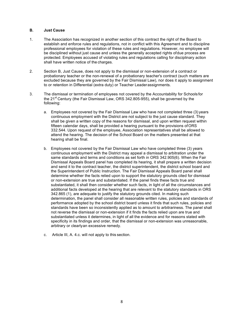#### **B. Just Cause**

- 1. The Association has recognized in another section of this contract the right of the Board to establish and enforce rules and regulations, not in conflict with this Agreement and to discipline professional employees for violation of these rules and regulations. However, no employee will be disciplined without just cause and unless the generally accepted rights ofdue process are protected. Employees accused of violating rules and regulations calling for disciplinary action shall have written notice of the charges.
- 2. Section B, Just Cause, does not apply to the dismissal or non-extension of a contract or probationary teacher or the non-renewal of a probationary teacher's contract (such matters are excluded because they are governed by the Fair Dismissal Law), nor does it apply to assignment to or retention in Differential (extra duty) or Teacher Leaderassignments.
- 3. The dismissal or termination of employees not covered by the Accountability for Schools for the 21<sup>st</sup> Century (the Fair Dismissal Law, ORS 342.805-955), shall be governed by the following:
	- a. Employees not covered by the Fair Dismissal Law who have not completed three (3) years continuous employment with the District are not subject to the just cause standard. They shall be given a written copy of the reasons for dismissal, and upon written request within fifteen calendar days, shall be provided a hearing pursuant to the provisions ofORS 332.544. Upon request of the employee, Association representatives shall be allowed to attend the hearing. The decision of the School Board on the matters presented at that hearing shall be final.
	- b. Employees not covered by the Fair Dismissal Law who have completed three (3) years continuous employment with the District may appeal a dismissal to arbitration under the same standards and terms and conditions as set forth in ORS 342.905(6). When the Fair Dismissal Appeals Board panel has completed its hearing, it shall prepare a written decision and send it to the contract teacher, the district superintendent, the district school board and the Superintendent of Public Instruction. The Fair Dismissal Appeals Board panel shall determine whether the facts relied upon to support the statutory grounds cited for dismissal or non-extension are true and substantiated. If the panel finds these facts true and substantiated, it shall then consider whether such facts, in light of all the circumstances and additional facts developed at the hearing that are relevant to the statutory standards in ORS 342.865 (1), are adequate to justify the statutory grounds cited. In making such determination, the panel shall consider all reasonable written rules, policies and standards of performance adopted by the school district board unless it finds that such rules, policies and standards have been so inconsistently applied as to amount to arbitrariness. The panel shall not reverse the dismissal or non-extension if it finds the facts relied upon are true and substantiated unless it determines, in light of all the evidence and for reasons stated with specificity in its findings and order, that the dismissal or non-extension was unreasonable, arbitrary or clearlyan excessive remedy.
	- c. Article III, A. 4.c. will not apply to this section.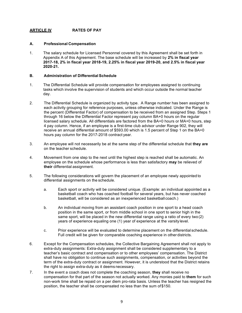#### **ARTICLE IV RATES OF PAY**

#### **A. Professional Compensation**

1. The salary schedule for Licensed Personnel covered by this Agreement shall be set forth in Appendix A of this Agreement. The base schedule will be increased by **2% in fiscal year 2017-18, 2% in fiscal year 2018-19, 2.25% in fiscal year 2019-20, and 2.5% in fiscal year 2020-21.**

#### **B. Administration of Differential Schedule**

- 1. The Differential Schedule will provide compensation for employees assigned to continuing tasks which involve the supervision of students and which occur outside the normal teacher day.
- 2. The Differential Schedule is organized by activity type. A Range number has been assigned to each activity grouping for reference purposes, unless otherwise indicated. Under the Range is the percent (Differential Factor) of compensation to be received from an assigned Step. Steps 1 through 16 below the Differential Factor represent pay column BA+0 hours on the regular licensed salary schedule. All differentials are factored from the BA+0 hours or MA+0 hours, step 4 pay column. Hence, if an employee is a first-time club advisor under Range 902, they will receive an annual differential amount of \$593.00 which is 1.5 percent of Step 1 on the BA+0 hours pay column for the 2017-2018 contract year.
- 3. An employee will not necessarily be at the same step of the differential schedule that **they are**  on the teacher schedule.
- 4. Movement from one step to the next until the highest step is reached shall be automatic. An employee on the schedule whose performance is less than satisfactory **may** be relieved of **their** differential assignment.
- 5. The following considerations will govern the placement of an employee newly appointed to differential assignments on the schedule.
	- a. Each sport or activity will be considered unique. (Example: an individual appointed as a basketball coach who has coached football for several years, but has never coached basketball, will be considered as an inexperienced basketball coach.)
	- b. An individual moving from an assistant coach position in one sport to a head coach position in the same sport, or from middle school in one sport to senior high in the same sport, will be placed in the new differential range using a ratio of every two(2) years of experience equaling one (1) year of experience at the varsity level.
	- c. Prior experience will be evaluated to determine placement on the differential schedule. Full credit will be given for comparable coaching experience in other districts.
- 6. Except for the Compensation schedules, the Collective Bargaining Agreement shall not apply to extra-duty assignments: Extra-duty assignment shall be considered supplementary to a teacher's basic contract and compensation or to other employees' compensation. The District shall have no obligation to continue such assignments, compensation, or activities beyond the term of the extra-duty contract or assignment. However, it is understood that the District retains the right to assign extra-duty as it deems necessary.
- 7. In the event a coach does not complete the coaching season, **they** shall receive no compensation for that part of the season not actually worked. Any monies paid to **them** for such non-work time shall be repaid on a per diem pro-rata basis. Unless the teacher has resigned the position, the teacher shall be compensated no less than the sum of\$150.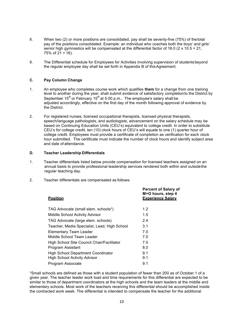- 8. When two (2) or more positions are consolidated, pay shall be seventy-five (75%) of thetotal pay of the positions consolidated. Example: an individual who coaches both the boys' and girls' senior high gymnastics will be compensated at the differential factor of 16.0 ( $2 \times 10.5 = 21$ ; 75% of  $21 = 16$ ).
- 9. The Differential schedule for Employees for Activities involving supervision of studentsbeyond the regular employee day shall be set forth in Appendix B of thisAgreement.

#### **C. Pay Column Change**

- 1. An employee who completes course work which qualifies **them** for a change from one training level to another during the year, shall submit evidence of satisfactory completionto the District by September 15<sup>th</sup> or February 15<sup>th</sup> at 5:00 p.m.. The employee's salary shall be adjusted accordingly, effective on the first day of the month following approval of evidence by the District.
- 2. For registered nurses, licensed occupational therapists, licensed physical therapists, speech/language pathologists, and audiologists, advancement on the salary schedule may be based on Continuing Education Units (CEU's) equivalent to college credit. In order to substitute CEU's for college credit, ten (10) clock hours of CEU's will equate to one (1) quarter hour of college credit. Employees must provide a certificate of completion as verification for each clock hour submitted. The certificate must indicate the number of clock hours and identify subject area and date of attendance.

#### **D. Teacher Leadership Differentials**

- 1. Teacher differentials listed below provide compensation for licensed teachers assigned on an annual basis to provide professional leadership services rendered both within and outsidethe regular teaching day.
- 2. Teacher differentials are compensated as follows:

| <u>Position</u>                              | <b>Percent of Salary of</b><br>M+O hours, step 4<br><b>Experience Salary</b> |
|----------------------------------------------|------------------------------------------------------------------------------|
| TAG Advocate (small elem. schools*)          | 1.2                                                                          |
| Middle School Activity Advisor               | 1.5                                                                          |
| TAG Advocate (large elem. schools)           | 2.4                                                                          |
| Teacher, Media Specialist, Lead, High School | 3.1                                                                          |
| Elementary Team Leader                       | 7.0                                                                          |
| Middle School Team Leader                    | 7.0                                                                          |
| High School Site Council Chair/Facilitator   | 7.0                                                                          |
| Program Assistant                            | 8.0                                                                          |
| <b>High School Department Coordinator</b>    | 9.1                                                                          |
| <b>High School Activity Advisor</b>          | 9.1                                                                          |
| Program Associate                            | 9.1                                                                          |
|                                              |                                                                              |

\*Small schools are defined as those with a student population of fewer than 200 as of October 1 of a given year. The teacher leader work load and time requirements for this differential are expected to be similar to those of department coordinators at the high schools and the team leaders at the middle and elementary schools. Most work of the teachers receiving this differential should be accomplished inside the contracted work week. The differential is intended to compensate the teacher for the additional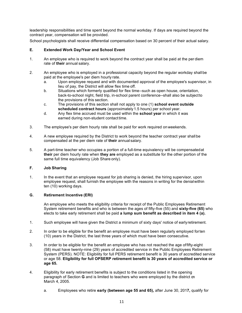leadership responsibilities and time spent beyond the normal workday. If days are required beyond the contract year, compensation will be provided.

School psychologists shall receive differential compensation based on 30 percent of their actual salary.

#### **E. Extended Work Day/Year and School Event**

- 1. An employee who is required to work beyond the contract year shall be paid at the per diem rate of **their** annual salary.
- 2. An employee who is employed in a professional capacity beyond the regular workday shall be paid at the employee's per diem hourly rate.
	- a. Upon employee request and with documented approval of the employee's supervisor, in lieu of pay, the District will allow flex time off.
	- b. Situations which formerly qualified for flex time--such as open house, orientation, back-to-school night, field trip, in-school parent conference--shall also be subjectto the provisions of this section.
	- c. The provisions of this section shall not apply to one (1) **school event outside**  scheduled contract hours (approximately 1.5 hours) per school year.
	- d. Any flex time accrued must be used within the **school year** in which it was earned during non-student contact time.
- 3. The employee's per diem hourly rate shall be paid for work required onweekends.
- 4. A new employee required by the District to work beyond the teacher contract year shall be compensated at the per diem rate of **their** annual salary.
- 5. A part-time teacher who occupies a portion of a full-time equivalency will be compensatedat **their** per diem hourly rate when **they are** employed as a substitute for the other portion of the same full time equivalency (Job Share only).

#### **F. Job Sharing**

1. In the event that an employee request for job sharing is denied, the hiring supervisor, upon employee request, shall furnish the employee with the reasons in writing for the denialwithin ten (10) working days.

#### **G. Retirement Incentive (ERI)**

An employee who meets the eligibility criteria for receipt of the Public Employees Retirement System retirement benefits and who is between the ages of fifty-five (55) and **sixty-five (65)** who elects to take early retirement shall be paid **a lump sum benefit as described in item 4 (a).** 

- 1. Such employee will have given the District a minimum of sixty days' notice of earlyretirement.
- 2. In order to be eligible for the benefit an employee must have been regularly employed forten (10) years in the District, the last three years of which must have been consecutive.
- 3. In order to be eligible for the benefit an employee who has not reached the age offifty-eight (58) must have twenty-nine (29) years of accredited service in the Public Employees Retirement System (PERS). NOTE: Eligibility for full PERS retirement benefit is 30 years of accredited service or age 58. **Eligibility for full OPSERP retirement benefit is 30 years of accredited service or age 65.**
- 4. Eligibility for early retirement benefits is subject to the conditions listed in the opening paragraph of Section **G** and is limited to teachers who were employed by the district on March 4, 2005.
	- a. Employees who retire **early (between age 55 and 65),** after June 30, 201**7,** qualify for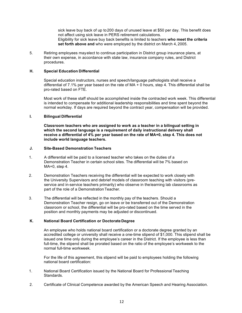sick leave buy back of up to200 days of unused leave at \$50 per day. This benefit does not affect using sick leave in PERS retirement calculations. Eligibility for sick leave buy back benefits is limited to teachers **who meet the criteria set forth above and** who were employed by the district on March 4, 2005.

5. Retiring employees mayelect to continue participation in District group insurance plans, at their own expense, in accordance with state law, insurance company rules, and District procedures.

#### **H. Special Education Differential**

Special education instructors, nurses and speech/language pathologists shall receive a differential of 7.1% per year based on the rate of MA + 0 hours, step 4. This differential shall be pro-rated based on FTE.

Most work of these staff should be accomplished inside the contracted work week. This differential is intended to compensate for additional leadership responsibilities and time spent beyond the normal workday. If days are required beyond the contract year, compensation will be provided.

#### **I. Bilingual Differential**

**Classroom teachers who are assigned to work as a teacher in a bilingual setting in which the second language is a requirement of daily instructional delivery shall receive a differential of 4% per year based on the rate of MA+0, step 4. This does not include world language teachers.** 

#### **J. Site-Based Demonstration Teachers**

- 1. A differential will be paid to a licensed teacher who takes on the duties of a Demonstration Teacher in certain school sites. The differential will be 7% based on MA+0, step 4.
- 2. Demonstration Teachers receiving the differential will be expected to work closely with the University Supervisors and debrief models of classroom teaching with visitors (preservice and in-service teachers primarily) who observe in thelearning lab classrooms as part of the role of a Demonstration Teacher.
- 3. The differential will be reflected in the monthly pay of the teachers. Should a Demonstration Teacher resign, go on leave or be transferred out of the Demonstration classroom or school, the differential will be pro-rated based on the time served in the position and monthly payments may be adjusted or discontinued.

#### **K. National Board Certification or Doctorate Degree**

An employee who holds national board certification or a doctorate degree granted by an accredited college or university shall receive a one-time stipend of \$1,000. This stipend shall be issued one time only during the employee's career in the District. If the employee is less than full-time, the stipend shall be prorated based on the ratio of the employee's workweek to the normal full-time workweek.

For the life of this agreement, this stipend will be paid to employees holding the following national board certification:

- 1. National Board Certification issued by the National Board for Professional Teaching Standards.
- 2. Certificate of Clinical Competence awarded by the American Speech and Hearing Association.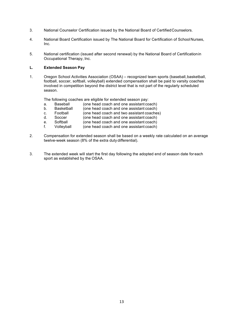- 3. National Counselor Certification issued by the National Board of CertifiedCounselors.
- 4. National Board Certification issued by The National Board for Certification of SchoolNurses, Inc.
- 5. National certification (issued after second renewal) by the National Board of Certificationin Occupational Therapy, Inc.

#### **L. Extended Season Pay**

1. Oregon School Activities Association (OSAA) – recognized team sports (baseball, basketball, football, soccer, softball, volleyball) extended compensation shall be paid to varsity coaches involved in competition beyond the district level that is not part of the regularly scheduled season.

The following coaches are eligible for extended season pay:

- a. Baseball (one head coach and one assistant coach)<br>b. Basketball (one head coach and one assistant coach)
- b. Basketball (one head coach and one assistant coach)<br>c. Football (one head coach and two assistant coaches
- c. Football (one head coach and two assistant coaches)<br>d. Soccer (one head coach and one assistant coach)
- d. Soccer (one head coach and one assistant coach)
- e. Softball (one head coach and one assistant coach)
- f. Volleyball (one head coach and one assistant coach)
- 2. Compensation for extended season shall be based on a weekly rate calculated on an average twelve-week season (8% of the extra duty differential).
- 3. The extended week will start the first day following the adopted end of season date for each sport as established by the OSAA.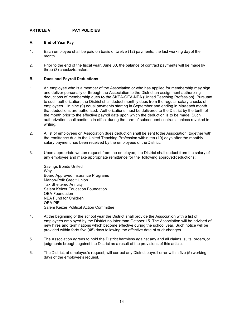#### **ARTICLE V PAY POLICIES**

#### **A. End of Year Pay**

- 1. Each employee shall be paid on basis of twelve (12) payments, the last working dayof the month.
- 2. Prior to the end of the fiscal year, June 30, the balance of contract payments will be madeby three (3) checks/transfers.

#### **B. Dues and Payroll Deductions**

- 1. An employee who is a member of the Association or who has applied for membership may sign and deliver personally or through the Association to the District an assignment authorizing deductions of membership dues **to** the SKEA-OEA-NEA **(**United Teaching Profession**)**. Pursuant to such authorization, the District shall deduct monthly dues from the regular salary checks of employees in nine (9) equal payments starting in September and ending in May each month that deductions are authorized. Authorizations must be delivered to the District by the tenth of the month prior to the effective payroll date upon which the deduction is to be made. Such authorization shall continue in effect during the term of subsequent contracts unless revoked in writing.
- 2. A list of employees on Association dues deduction shall be sent tothe Association, together with the remittance due to the United Teaching Profession within ten (10) days after the monthly salary payment has been received by the employees of the District.
- 3. Upon appropriate written request from the employee, the District shall deduct from the salary of any employee and make appropriate remittance for the following approved deductions:

Savings Bonds United Way Board Approved Insurance Programs Marion-Polk Credit Union Tax Sheltered Annuity Salem Keizer Education Foundation OEA Foundation NEA Fund for Children OEA PIE Salem Keizer Political Action Committee

- 4. At the beginning of the school year the District shall provide the Association with a list of employees employed by the District no later than October 15. The Association will be advised of new hires and terminations which become effective during the school year. Such notice will be provided within forty-five (45) days following the effective date of such changes.
- 5. The Association agrees to hold the District harmless against any and all claims, suits, orders,or judgments brought against the District as a result of the provisions of this article.
- 6. The District, at employee's request, will correct any District payroll error within five (5) working days of the employee's request.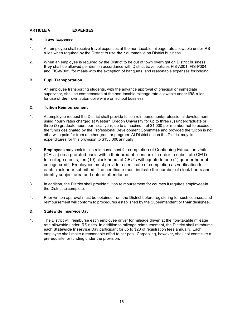#### **ARTICLE VI EXPENSES**

#### **A. Travel Expense**

- 1. An employee shall receive travel expenses at the non-taxable mileage rate allowable underIRS rules when required by the District to use **their** automobile on District business.
- 2. When an employee is required by the District to be out of town overnight on District business **they** shall be allowed per diem in accordance with District travel policies FIS-A001, FIS-P004 and FIS-W005, for meals with the exception of banquets, and reasonable expenses forlodging.

#### **B. Pupil Transportation**

An employee transporting students, with the advance approval of principal or immediate supervisor, shall be compensated at the non-taxable mileage rate allowable under IRS rules for use of **their** own automobile while on school business.

#### **C. Tuition Reimbursement**

- 1. At employee request the District shall provide tuition reimbursement/professional development using hourly rates charged at Western Oregon University for up to three (3) undergraduate or three (3) graduate hours per fiscal year, up to a maximum of \$1,000 per member not to exceed the funds designated by the Professional Development Committee and provided the tuition is not otherwise paid for from another grant or program. At District option the District may limit its expenditures for this provision to \$138,000 annually.
- 2. **Employees** mayseek tuition reimbursement for completion of Continuing Education Units (CEU's) on a prorated basis within their area of licensure. In order to substitute CEU's for college credits, ten (10) clock hours of CEU's will equate to one (1) quarter hour of college credit. Employees must provide a certificate of completion as verification for each clock hour submitted. The certificate must indicate the number of clock hours and identify subject area and date of attendance.
- 3. In addition, the District shall provide tuition reimbursement for courses it requires employeesin the District to complete.
- 4. Prior written approval must be obtained from the District before registering for such courses, and reimbursement will conform to procedures established by the Superintendent or **their** designee.

#### **D. Statewide Inservice Day**

1. The District will reimburse each employee driver for mileage driven at the non-taxable mileage rate allowable under IRS rules. In addition to mileage reimbursement, the District shall reimburse each **Statewide Inservice** Day participant for up to \$20 of registration fees annually. Each employee shall make a reasonable effort to car pool. Carpooling, however, shall not constitute a prerequisite for funding under the provision.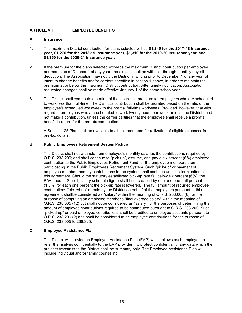#### **ARTICLE VII EMPLOYEE BENEFITS**

#### **A. Insurance**

- 1. The maximum District contribution for plans selected will be **\$1,245 for the 2017-18 insurance year, \$1,270 for the 2018-19 insurance year, \$1,310 for the 2019-20 insurance year, and \$1,350 for the 2020-21 insurance year.**
- 2. If the premium for the plans selected exceeds the maximum District contribution per employee per month as of October 1 of any year, the excess shall be withheld through monthly payroll deduction. The Association may notify the District in writing prior to December 1 of any year of intent to change benefits and/or carriers specified in section 1 above, in order to maintain the premium at or below the maximum District contribution. After timely notification, Association requested changes shall be made effective January 1 of the same schoolyear.
- 3. The District shall contribute a portion of the insurance premium for employees who are scheduled to work less than full-time. The District's contribution shall be prorated based on the ratio of the employee's scheduled workweek to the normal full-time workweek. Provided, however, that with regard to employees who are scheduled to work twenty hours per week or less, the District need not make a contribution, unless the carrier certifies that the employee shall receive a prorata benefit in return for the prorata contribution.
- 4. A Section 125 Plan shall be available to all unit members for utilization of eligible expenses from pre-tax dollars.

#### **B. Public Employees Retirement System Pickup**

The District shall not withhold from employee's monthly salaries the contributions required by O.R.S. 238.200; and shall continue to "pick up", assume, and pay a six percent (6%) employee contribution to the Public Employees Retirement Fund for the employee members then participating in the Public Employees Retirement System. Such "pick-up" or payment of employee member monthly contributions to the system shall continue until the termination of this agreement. Should the statutory established pick-up rate fall below six percent (6%), the BA+0 hours, Step 1, salary schedule figure shall be increased by one and one-half percent (1.5%) for each one percent the pick-up rate is lowered. The full amount of required employee contributions "picked up" or paid by the District on behalf of the employees pursuant to this agreement shallbe considered as "salary" within the meaning of O.R.S. 238.005 (8) for the purpose of computing an employee member's "final average salary" within the meaning of O.R.S. 238.005 (12) but shall not be considered as "salary" for the purposes of determining the amount of employee contributions required to be contributed pursuant to O.R.S. 238.200. Such "picked-up" or paid employee contributions shall be credited to employee accounts pursuant to O.R.S. 238.200 (2) and shall be considered to be employee contributions for the purpose of O.R.S. 238.005 to 238.325.

#### **C. Employee Assistance Plan**

The District will provide an Employee Assistance Plan (EAP) which allows each employee to refer themselves confidentially to the EAP provider. To protect confidentiality, any data which the provider transmits to the District shall be summary only. The Employee Assistance Plan will include individual and/or family counseling.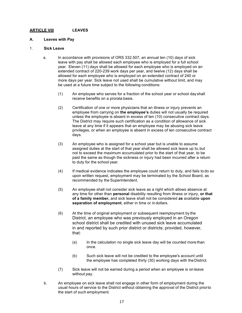#### **ARTICLE VIII LEAVES**

#### **A. Leaves with Pay**

#### 1. **Sick Leave**

- a. In accordance with provisions of ORS 332.507, an annual ten (10) days of sick leave with pay shall be allowed each employee who is employed for a full school year. Eleven (11) days shall be allowed for each employee who is employed on an extended contract of 220-239 work days per year, and twelve (12) days shall be allowed for each employee who is employed on an extended contract of 240 or more days per year. Sick leave not used shall be cumulative without limit, and may be used at a future time subject to the following conditions:
	- (1) An employee who serves for a fraction of the school year or school day shall receive benefits on a prorata basis.
	- (2) Certification of one or more physicians that an illness or injury prevents an employee from carrying on **the employee's** duties will not usually be required unless the employee is absent in excess of ten (10) consecutive contract days. The District may require such certification as a condition of allowance of sick leave at any time if it appears that an employee may be abusing sick leave privileges, or when an employee is absent in excess of ten consecutive contract days.
	- (3) An employee who is assigned for a school year but is unable to assume assigned duties at the start of that year shall be allowed sick leave up to,but not to exceed the maximum accumulated prior to the start of that year, to be paid the same as though the sickness or injury had been incurred after a return to duty for the school year.
	- (4) If medical evidence indicates the employee could return to duty, and fails to do so upon written request, employment may be terminated by the School Board, as recommended by the Superintendent.
	- (5) An employee shall not consider sick leave as a right which allows absence at any time for other than **personal** disability resulting from illness or injury, **or that of a family member,** and sick leave shall not be considered **as** available **upon separation of employment**, either in time or in dollars.
	- (6) At the time of original employment or subsequent reemployment by the District, an employee who was previously employed in an Oregon school district shall be credited with unused sick leave accumulated in and reported by such prior district or districts; provided, however, that:
		- (a) In the calculation no single sick leave day will be counted more than once.
		- (b) Such sick leave will not be credited to the employee's account until the employee has completed thirty (30) working days with theDistrict.
	- (7) Sick leave will not be earned during a period when an employee is on leave without pay.
- b. An employee on sick leave shall not engage in other form of employment during the usual hours of service to the District without obtaining the approval of the District priorto the start of such employment.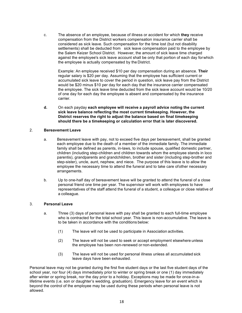c. The absence of an employee, because of illness or accident for which **they** receive compensation from the District workers compensation insurance carrier shall be considered as sick leave. Such compensation for the time lost (but not disability settlements) shall be deducted from sick leave compensation paid to the employee by the Salem Keizer School District. However, the amount of sick leave time charged against the employee's sick leave account shall be only that portion of each day forwhich the employee is actually compensated by the District.

Example: An employee received \$10 per day compensation during an absence. **Their** regular salary is \$20 per day. Assuming that the employee has sufficient current or accumulated sick leave to cover the period in question, sick leave pay from the District would be \$20 minus \$10 per day for each day that the insurance carrier compensated the employee. The sick leave time deducted from the sick leave account would be 10/20 of one day for each day the employee is absent and compensated by the insurance carrier.

**d.** On each payday **each employee will receive a payroll advice noting the current sick leave balance reflecting the most current timekeeping. However, the District reserves the right to adjust the balance based on final timekeeping should there be a timekeeping or calculation error that is later discovered.** 

#### 2. **Bereavement Leave**

- a. Bereavement leave with pay, not to exceed five days per bereavement, shall be granted each employee due to the death of a member of the immediate family. The immediate family shall be defined as parents, in-laws, to include spouse, qualified domestic partner, children (including step-children and children towards whom the employee stands in loco parentis), grandparents and grandchildren, brother and sister (including step-brother and step-sister), uncle, aunt, nephew, and niece. The purpose of this leave is to allow the employee the necessary time to attend the funeral and to take care ofother necessary arrangements.
- b. Up to one-half day of bereavement leave will be granted to attend the funeral of a close personal friend one time per year. The supervisor will work with employees to have representatives of the staff attend the funeral of a student, a colleague or close relative of a colleague.

#### 3. **Personal Leave**

- a. Three (3) days of personal leave with pay shall be granted to each full-time employee who is contracted for the total school year. This leave is non-accumulative. The leave is to be taken in accordance with the conditions below:
	- (1) The leave will not be used to participate in Association activities.
	- (2) The leave will not be used to seek or accept employment elsewhere unless the employee has been non-renewed or non-extended.
	- (3) The leave will not be used for personal illness unless all accumulated sick leave days have been exhausted.

Personal leave may not be granted during the first five student days or the last five student days of the school year, nor four (4) days immediately prior to winter or spring break or one (1) day immediately after winter or spring break, nor the day prior to a holiday. Exceptions may be made for once-in-alifetime events (i.e. son or daughter's wedding, graduation). Emergency leave for an event which is beyond the control of the employee may be used during these periods when personal leave is not allowed.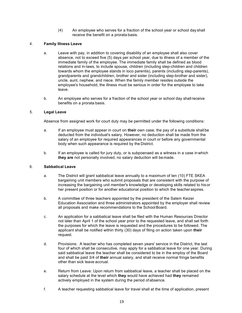(4) An employee who serves for a fraction of the school year or school day shall receive the benefit on a prorata basis.

#### 4. **Family Illness Leave**

- a. Leave with pay, in addition to covering disability of an employee shall also cover absence, not to exceed five (5) days per school year, due to illness of a member of the immediate family of the employee. The immediate family shall be defined as blood relations and in-laws, to include spouse, children (including step-children and children towards whom the employee stands in loco parentis), parents (including step-parents), grandparents and grandchildren, brother and sister (including step-brother and sister), uncle, aunt, nephew, and niece. When the family member resides outside the employee's household, the illness must be serious in order for the employee to take leave.
- b. An employee who serves for a fraction of the school year or school day shallreceive benefits on a prorata basis.

#### 5. **Legal Leave**

Absence from assigned work for court duty may be permitted under the following conditions:

- a. If an employee must appear in court on **their** own case, the pay of a substitute shallbe deducted from the individual's salary. However, no deduction shall be made from the salary of an employee for required appearances in court or before any governmental body when such appearance is required by the District.
- b. If an employee is called for jury duty, or is subpoenaed as a witness in a case in which **they are** not personally involved, no salary deduction will be made.

#### 6. **Sabbatical Leave**

- a. The District will grant sabbatical leave annually to a maximum of ten (10) FTE SKEA bargaining unit members who submit proposals that are consistent with the purpose of increasing the bargaining unit member's knowledge or developing skills related to hisor her present position or for another educational position to which the teacheraspires.
- b. A committee of three teachers appointed by the president of the Salem Keizer Education Association and three administrators appointed by the employer shall review all proposals and make recommendations to the School Board.
- c. An application for a sabbatical leave shall be filed with the Human Resources Director not later than April 1 of the school year prior to the requested leave, and shall set forth the purposes for which the leave is requested and the procedures to be followed. The applicant shall be notified within thirty (30) days of filing on action taken upon **their** request.
- d. Provisions: A teacher who has completed seven years' service in the District, the last four of which shall be consecutive, may apply for a sabbatical leave for one year. During said sabbatical leave the teacher shall be considered to be in the employ of the Board and shall be paid 3/4 of **their** annual salary, and shall receive normal fringe benefits other than sick leave accrual.
- e. Return from Leave: Upon return from sabbatical leave, a teacher shall be placed on the salary schedule at the level which **they** would have achieved had **they** remained actively employed in the system during the period ofabsence.
- f. A teacher requesting sabbatical leave for travel shall at the time of application, present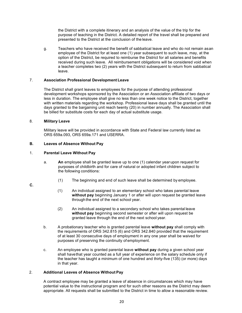the District with a complete itinerary and an analysis of the value of the trip for the purpose of teaching in the District. A detailed report of the travel shall be prepared and presented to the District at the conclusion of the leave.

g. Teachers who have received the benefit of sabbatical leave and who do not remain asan employee of the District for at least one (1) year subsequent to such leave, may, at the option of the District, be required to reimburse the District for all salaries and benefits received during such leave. All reimbursement obligations will be considered void when a teacher completes two (2) years with the District subsequent to return from sabbatical leave.

#### 7. **Association Professional Development Leave**

The District shall grant leaves to employees for the purpose of attending professional development workshops sponsored by the Association or an Association affiliate of two days or less in duration. The employee shall give no less than one week notice to the District, together with written materials regarding the workshop. Professional leave days shall be granted until the days granted to the bargaining unit reach twenty (20) in number annually. The Association shall be billed for substitute costs for each day of actual substitute usage.

#### 8. **Military Leave**

Military leave will be provided in accordance with State and Federal law currently listed as ORS 659a.093, ORS 659a.171 and USERRA.

#### **B. Leaves of Absence Without Pay**

#### 1. **Parental Leave Without Pay**

- a. **An** employee shall be granted leave up to one (1) calendar year upon request for purposes of childbirth and for care of natural or adopted infant children subject to the following conditions:
	- (1) The beginning and end of such leave shall be determined by employee.

#### **C.**

- (1) An individual assigned to an elementary school who takes parental leave **without pay** beginning January 1 or after will upon request be granted leave through the end of the next school year.
- (2) An individual assigned to a secondary school who takes parental leave **without pay** beginning second semester or after will upon request be granted leave through the end of the next school year.
- b. A probationary teacher who is granted parental leave **without pay** shall comply with the requirements of ORS 342.815 (6) and ORS 342.840 provided that the requirement of at least 30 consecutive days of employment in any one year shall be waived for purposes of preserving the continuity of employment.
- c. An employee who is granted parental leave **without pay** during a given school year shall havethat year counted as a full year of experience on the salary schedule only if the teacher has taught a minimum of one hundred and thirty-five (135) (or more) days in that year.

#### 2. **Additional Leaves of Absence Without Pay**

A contract employee may be granted a leave of absence in circumstances which may have potential value to the instructional program and for such other reasons as the District may deem appropriate. All requests shall be submitted to the District in time to allow a reasonable review.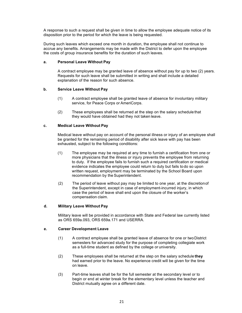A response to such a request shall be given in time to allow the employee adequate notice of its disposition prior to the period for which the leave is being requested.

During such leaves which exceed one month in duration, the employee shall not continue to accrue any benefits. Arrangements may be made with the District to defer upon the employee the costs of group insurance benefits for the duration of such leaves.

#### **a. Personal Leave Without Pay**

A contract employee may be granted leave of absence without pay for up to two (2) years. Requests for such leave shall be submitted in writing and shall include a detailed explanation of the reason for such absence.

#### **b. Service Leave Without Pay**

- (1) A contract employee shall be granted leave of absence for involuntary military service, for Peace Corps or AmeriCorps.
- (2) These employees shall be returned at the step on the salary schedule that they would have obtained had they not taken leave.

#### **c. Medical Leave Without Pay**

Medical leave without pay on account of the personal illness or injury of an employee shall be granted for the remaining period of disability after sick leave with pay has been exhausted, subject to the following conditions:

- (1) The employee may be required at any time to furnish a certification from one or more physicians that the illness or injury prevents the employee from returning to duty. If the employee fails to furnish such a required certification or medical evidence indicates the employee could return to duty but fails todo so upon written request, employment may be terminated by the School Board upon recommendation by the Superintendent.
- (2) The period of leave without pay may be limited to one year, at the discretionof the Superintendent, except in case of employment-incurred injury, in which case the period of leave shall end upon the closure of the worker's compensation claim.

#### **d. Military Leave Without Pay**

Military leave will be provided in accordance with State and Federal law currently listed as ORS 659a.093, ORS 659a.171 and USERRA.

#### **e. Career Development Leave**

- (1) A contract employee shall be granted leave of absence for one or two District semesters for advanced study for the purpose of completing collegiate work as a full-time student as defined by the college or university.
- (2) These employees shall be returned at the step on the salary schedule **they** had earned prior to the leave. No experience credit will be given for the time on leave.
- (3) Part-time leaves shall be for the full semester at the secondary level or to begin or end at winter break for the elementary level unless the teacher and District mutually agree on a different date.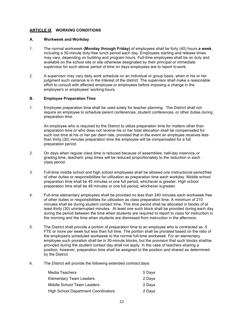#### **ARTICLE IX WORKING CONDITIONS**

#### **A. Workweek and Workday**

- 1. The normal workweek **(Monday through Friday)** of employees shall be forty (40) hours **a week**, including a 30-minute duty-free lunch period each day. Employees starting and release times may vary, depending on building and program hours. Full-time employees shall be on duty and available on the school site or site otherwise designated by their principal or immediate supervisor for such above period of time on days employees are to report to work.
- 2. A supervisor may vary daily work schedule on an individual or group basis, when in his or her judgment such variance is in the interest of the district. The supervisor shall make a reasonable effort to consult with affected employee or employees before imposing a change in the employee's or employees' working hours.

#### **B. Employee Preparation Time**

1. Employee preparation time shall be used solely for teacher planning. The District shall not require an employee to schedule parent conferences, student conferences, or other duties during preparation time.

An employee who is required by the District to utilize preparation time for matters other than preparation time or who does not receive his or her total allocation shall be compensated for such lost time at his or her per diem rate, provided that in the event an employee receives less than thirty (30) minutes preparation time the employee will be compensated for a full preparation period.

- 2. On days when regular class time is reduced because of assemblies, half-day inservice,or grading time, teachers' prep times will be reduced proportionately to the reduction in each class period.
- 3. Full-time middle school and high school employees shall be allowed one instructional periodfree of other duties or responsibilities for utilization as preparation time each workday. Middle school preparation time shall be 45 minutes or one full period, whichever is greater. High school preparation time shall be 48 minutes or one full period, whichever isgreater.
- 4. Full-time elementary employees shall be provided no less than 240 minutes each workweek free of other duties or responsibilities for utilization as class preparation time. A minimum of 210 minutes shall be during student contact time. This time period shall be allocated in blocks of at least thirty (30) uninterrupted minutes. At least one such block shall be provided during each day during the period between the time when students are required to report to class for instruction in the morning and the time when students are dismissed from instruction in the afternoon.
- 5. The District shall provide a portion of preparation time to an employee who is contracted as .5 FTE or more per week but less than full time. The portion shall be prorated based on the ratio of the employee's scheduled workweek to the normal full-time workweek. For an elementary employee such proration shall be in 30-minute blocks, but the provision that such blocks shallbe provided during the student contact day shall not apply. In the case of teachers sharing a position, however, preparation time shall be assigned to the position and shared as determined by the District.
- 6. The District will provide the following extended contract days:

| Media Teachers                             | 5 Days |
|--------------------------------------------|--------|
| <b>Elementary Team Leaders</b>             | 2 Days |
| Middle School Team Leaders                 | 2 Days |
| <b>High School Department Coordinators</b> | 2 Days |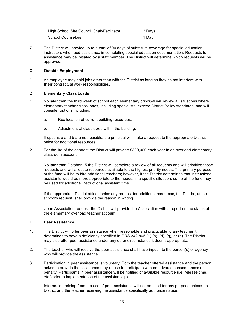| High School Site Council Chair/Facilitator | 2 Days |
|--------------------------------------------|--------|
| School Counselors                          | 1 Day  |

7. The District will provide up to a total of 90 days of substitute coverage for special education instructors who need assistance in completing special education documentation. Requests for assistance may be initiated by a staff member. The District will determine which requests will be approved.

#### **C. Outside Employment**

1. An employee may hold jobs other than with the District as long as they do not interfere with **their** contractual work responsibilities.

#### **D. Elementary Class Loads**

- 1. No later than the third week of school each elementary principal will review all situations where elementary teacher class loads, including specialists, exceed District Policy standards, and will consider options including:
	- a. Reallocation of current building resources.
	- b. Adjustment of class sizes within the building.

If options a and b are not feasible, the principal will make a request to the appropriate District office for additional resources.

2. For the life of the contract the District will provide \$300,000 each year in an overload elementary classroom account.

No later than October 15 the District will complete a review of all requests and will prioritize those requests and will allocate resources available to the highest priority needs. The primary purpose of the fund will be to hire additional teachers; however, if the District determines that instructional assistants would be more appropriate to the needs, in a specific situation, some of the fund may be used for additional instructional assistant time.

If the appropriate District office denies any request for additional resources, the District, at the school's request, shall provide the reason in writing.

Upon Association request, the District will provide the Association with a report on the status of the elementary overload teacher account.

#### **E. Peer Assistance**

- 1. The District will offer peer assistance when reasonable and practicable to any teacher it determines to have a deficiency specified in ORS 342.865 (1) (a), (d), (g), or (h). The District may also offer peer assistance under any other circumstance it deemsappropriate.
- 2. The teacher who will receive the peer assistance shall have input into the person(s) or agency who will provide the assistance.
- 3. Participation in peer assistance is voluntary. Both the teacher offered assistance and the person asked to provide the assistance may refuse to participate with no adverse consequences or penalty. Participants in peer assistance will be notified of available resource (i.e. release time, etc.) prior to implementation of the assistance plan.
- 4. Information arising from the use of peer assistance will not be used for any purpose unlessthe District and the teacher receiving the assistance specifically authorize its use.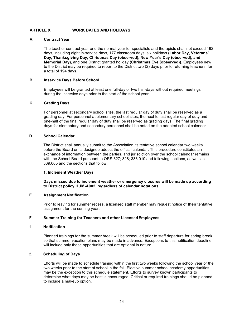#### **ARTICLE X WORK DATES AND HOLIDAYS**

#### **A. Contract Year**

The teacher contract year and the normal year for specialists and therapists shall not exceed 192 days, including eight in-service days, 177 classroom days, six holidays **(Labor Day, Veterans' Day, Thanksgiving Day, Christmas Day (observed), New Year's Day (observed), and Memorial Day)**, and one District granted holiday **(Christmas Eve (observed))**. Employees new to the District may be required to report to the District two (2) days prior to returning teachers, for a total of 194 days.

#### **B. Inservice Days Before School**

Employees will be granted at least one full-day or two half-days without required meetings during the inservice days prior to the start of the school year.

#### **C. Grading Days**

For personnel at secondary school sites, the last regular day of duty shall be reserved as a grading day. For personnel at elementary school sites, the next to last regular day of duty and one-half of the final regular day of duty shall be reserved as grading days. The final grading days for elementary and secondary personnel shall be noted on the adopted school calendar.

#### **D. School Calendar**

The District shall annually submit to the Association its tentative school calendar two weeks before the Board or its designee adopts the official calendar. This procedure constitutes an exchange of information between the parties, and jurisdiction over the school calendar remains with the School Board pursuant to ORS 327; 328; 336.010 and following sections, as well as 339.005 and the sections that follow.

#### **1. Inclement Weather Days**

**Days missed due to inclement weather or emergency closures will be made up according to District policy HUM-A002, regardless of calendar notations.** 

#### **E. Assignment Notification**

Prior to leaving for summer recess, a licensed staff member may request notice of **their** tentative assignment for the coming year.

#### **F. Summer Training for Teachers and other LicensedEmployees**

#### 1. **Notification**

Planned trainings for the summer break will be scheduled prior to staff departure for spring break so that summer vacation plans may be made in advance. Exceptions to this notification deadline will include only those opportunities that are optional in nature.

#### 2. **Scheduling of Days**

Efforts will be made to schedule training within the first two weeks following the school year or the two weeks prior to the start of school in the fall. Elective summer school academy opportunities may be the exception to this schedule statement. Efforts to survey known participants to determine what days may be best is encouraged. Critical or required trainings should be planned to include a makeup option.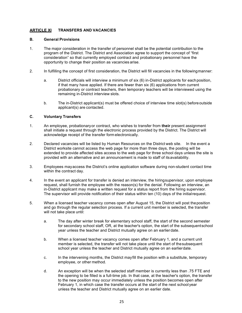#### **ARTICLE XI TRANSFERS AND VACANCIES**

#### **B. General Provisions**

- 1. The major consideration in the transfer of personnel shall be the potential contribution to the program of the District. The District and Association agree to support the concept of "first consideration" so that currently employed contract and probationary personnel have the opportunity to change their position as vacancies arise.
- 2. In fulfilling the concept of first consideration, the District will fill vacancies in the followingmanner:
	- a. District officials will interview a minimum of six (6) in-District applicants for eachposition, if that many have applied. If there are fewer than six (6) applications from current probationary or contract teachers, then temporary teachers will be interviewed using the remaining in-District interview slots.
	- b. The in-District applicant(s) must be offered choice of interview time slot(s) beforeoutside applicant(s) are contacted.

#### **C. Voluntary Transfers**

- 1. An employee, probationaryor contract, who wishes to transfer from **their** present assignment shall initiate a request through the electronic process provided by the District. The District will acknowledge receipt of the transfer form electronically.
- 2. Declared vacancies will be listed by Human Resources on the District web site. In the event a District worksite cannot access the web page for more than three days, the posting will be extended to provide affected sites access to the web page for three school days unless the site is provided with an alternative and an announcement is made to staff of itsavailability.
- 3. Employees mayaccess the District's online application software during non-student contact time within the contract day.
- 4. In the event an applicant for transfer is denied an interview, the hiringsupervisor, upon employee request, shall furnish the employee with the reason(s) for the denial. Following an interview, an in-District applicant may make a written request for a status report from the hiring supervisor. The supervisor will provide notification of their status within ten (10) days of the initialrequest.
- 5. When a licensed teacher vacancy comes open after August 15, the District will post theposition and go through the regular selection process. If a current unit member is selected, the transfer will not take place until:
	- a. The day after winter break for elementary school staff, the start of the second semester for secondary school staff, OR, at the teacher's option, the start of the subsequentschool year unless the teacher and District mutually agree on an earlierdate.
	- b. When a licensed teacher vacancy comes open after February 1, and a current unit member is selected, the transfer will not take place until the start of thesubsequent school year unless the teacher and District mutually agree on an earlierdate.
	- c. In the intervening months, the District mayfill the position with a substitute, temporary employee, or other method.
	- d. An exception will be when the selected staff member is currently less than .75 FTE and the opening to be filled is a full-time job. In that case, at the teacher's option, the transfer to the new position may occur immediately unless the position becomes open after February 1, in which case the transfer occurs at the start of the next school year unless the teacher and District mutually agree on an earlier date.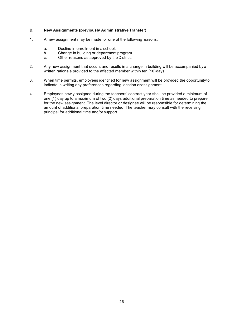#### **D. New Assignments (previously Administrative Transfer)**

- 1. A new assignment may be made for one of the followingreasons:
	- a. Decline in enrollment in a school.
	- b. Change in building or department program.
	- c. Other reasons as approved by the District.
- 2. Any new assignment that occurs and results in a change in building will be accompanied by a written rationale provided to the affected member within ten (10) days.
- 3. When time permits, employees identified for new assignment will be provided the opportunityto indicate in writing any preferences regarding location or assignment.
- 4. Employees newly assigned during the teachers' contract year shall be provided a minimum of one (1) day up to a maximum of two (2) days additional preparation time as needed to prepare for the new assignment. The level director or designee will be responsible for determining the amount of additional preparation time needed. The teacher may consult with the receiving principal for additional time and/or support.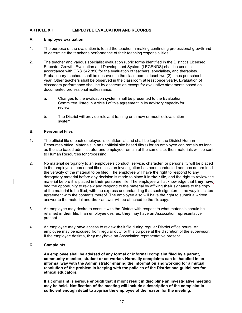#### **ARTICLE XII EMPLOYEE EVALUATION AND RECORDS**

#### **A. Employee Evaluation**

- 1. The purpose of the evaluation is to aid the teacher in making continuing professional growth and to determine the teacher's performance of their teachingresponsibilities.
- 2. The teacher and various specialist evaluation rubric forms identified in the District's Licensed Educator Growth, Evaluation and Development System (LEGENDS) shall be used in accordance with ORS 342.850 for the evaluation of teachers, specialists, and therapists. Probationary teachers shall be observed in the classroom at least two (2) times per school year. Other teachers shall be observed in the classroom at least once yearly. Evaluation of classroom performance shall be by observation except for evaluative statements based on documented professional malfeasance.
	- a. Changes to the evaluation system shall be presented to the Evaluation Committee, listed in Article I of this agreement in its advisory capacity for review.
	- b. The District will provide relevant training on a new or modifiedevaluation system.

#### **B. Personnel Files**

- **1.** The official file of each employee is confidential and shall be kept in the District Human Resources office. Materials in an unofficial site based file(s) for an employee can remain as long as the site based administrator and employee remain at the same site, then materials will be sent to Human Resources for processing.
- 2. No material derogatory to an employee's conduct, service, character, or personality will be placed in the employee's personnel file unless an investigation has been conducted and has determined the veracity of the material to be filed. The employee will have the right to respond to any derogatory material before any decision is made to place it in **their** file, and the right to review the material before it is placed in **their** personnel file. The employee will acknowledge that **they have** had the opportunity to review and respond to the material by affixing **their** signature to the copy of the material to be filed, with the express understanding that such signature in no way indicates agreement with the contents thereof. The employee also will have the right to submit a written answer to the material and **their** answer will be attached to the filecopy.
- 3. An employee may desire to consult with the District with respect to what materials should be retained in **their** file. If an employee desires, **they** may have an Association representative present.
- 4. An employee may have access to review **their** file during regular District office hours. An employee may be excused from regular duty for this purpose at the discretion of the supervisor. If the employee desires, **they** mayhave an Association representative present.

#### **C. Complaints**

**An employee shall be advised of any formal or informal complaint filed by a parent, community member, student or co-worker. Normally complaints can be handled in an informal way with the Administrator sharing the information and working for a mutual resolution of the problem in keeping with the policies of the District and guidelines for ethical educators.** 

**If a complaint is serious enough that it might result in discipline an investigative meeting may be held. Notification of the meeting will include a description of the complaint in sufficient enough detail to apprise the employee of the reason for the meeting.**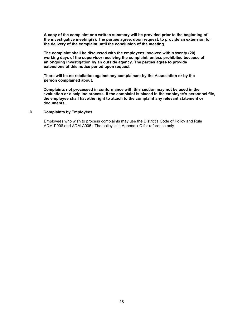**A copy of the complaint or a written summary will be provided prior to the beginning of the investigative meeting(s). The parties agree, upon request, to provide an extension for the delivery of the complaint until the conclusion of the meeting.** 

**The complaint shall be discussed with the employees involved within twenty (20) working days of the supervisor receiving the complaint, unless prohibited because of an ongoing investigation by an outside agency. The parties agree to provide extensions of this notice period upon request.** 

**There will be no retaliation against any complainant by the Association or by the person complained about.**

**Complaints not processed in conformance with this section may not be used in the evaluation or discipline process. If the complaint is placed in the employee's personnel file, the employee shall havethe right to attach to the complaint any relevant statement or documents.**

#### **D. Complaints by Employees**

Employees who wish to process complaints may use the District's Code of Policy and Rule ADM-P008 and ADM-A005. The policy is in Appendix C for reference only.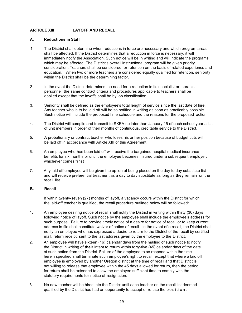#### **ARTICLE XIII LAYOFF AND RECALL**

#### **A. Reductions in Staff**

- 1. The District shall determine when reductions in force are necessary and which program areas shall be affected. If the District determines that a reduction in force is necessary, it will immediately notify the Association. Such notice will be in writing and will indicate the programs which may be affected. The District's overall instructional program will be given priority consideration. Teachers shall be considered for retention on the basis of related experience and education. When two or more teachers are considered equally qualified for retention, seniority within the District shall be the determining factor.
- 2. In the event the District determines the need for a reduction in its specialist or therapist personnel, the same contract criteria and procedures applicable to teachers shall be applied except that the layoffs shall be by job classification.
- 3. Seniority shall be defined as the employee's total length of service since the last date of hire. Any teacher who is to be laid off will be so notified in writing as soon as practicably possible. Such notice will include the proposed time schedule and the reasons for the proposed action.
- 4. The District will compile and transmit to SKEA no later than January 15 of each school year a list of unit members in order of their months of continuous, creditable service to the District.
- 5. A probationary or contract teacher who loses his or her position because of budget cuts will be laid off in accordance with Article XIII of this Agreement.
- 6. An employee who has been laid off will receive the bargained hospital medical insurance benefits for six months or until the employee becomes insured under a subsequent employer, whichever comes first.
- 7. Any laid off employee will be given the option of being placed on the day to day substitute list and will receive preferential treatment as a day to day substitute as long as **they** remain on the recall list.

#### **B. Recall**

If within twenty-seven (27) months of layoff, a vacancy occurs within the District for which the laid-off teacher is qualified, the recall procedure outlined below will be followed:

- 1. An employee desiring notice of recall shall notify the District in writing within thirty (30) days following notice of layoff. Such notice by the employee shall include the employee's address for such purpose. Failure to provide timely notice of a desire for notice of recall or to keep current address in file shall constitute waiver of notice of recall. In the event of a recall, the District shall notify an employee who has expressed a desire to return to the District of the recall by certified mail, return receipt, sent to the last address given by the employee to the District.
- 2. An employee will have sixteen (16) calendar days from the mailing of such notice to notify the District in writing of **their** intent to return within forty-five (45) calendar days of the date of such notice from the District. Failure of the employee to so respond within the time herein specified shall terminate such employee's right to recall, except that where a laid off employee is employed by another Oregon district at the time of recall and that District is not willing to release that employee within the 45 days allowed for return, then the period for return shall be extended to allow the employee sufficient time to comply with the statutory requirements for notice of resignation.
- 3. No new teacher will be hired into the District until each teacher on the recall list deemed qualified by the District has had an opportunity to accept or refuse the position.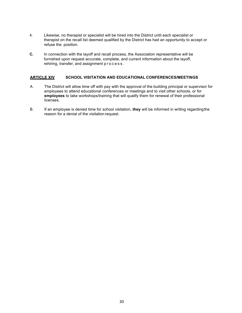- 4. Likewise, no therapist or specialist will be hired into the District until each specialist or therapist on the recall list deemed qualified by the District has had an opportunity to accept or refuse the position.
- **C.** In connection with the layoff and recall process, the Association representative will be furnished upon request accurate, complete, and current information about the layoff, rehiring, transfer, and assignment process .

#### **ARTICLE XIV SCHOOL VISITATION AND EDUCATIONAL CONFERENCES/MEETINGS**

- A. The District will allow time off with pay with the approval of the building principal or supervisor for employees to attend educational conferences or meetings and to visit other schools, or for **employees** to take workshops/training that will qualify them for renewal of their professional licenses.
- B. If an employee is denied time for school visitation, **they** will be informed in writing regardingthe reason for a denial of the visitation request.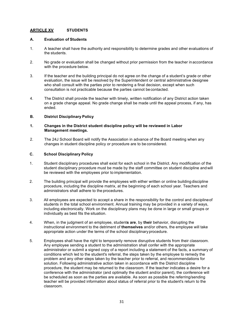#### **ARTICLE XV STUDENTS**

#### **A. Evaluation of Students**

- 1. A teacher shall have the authority and responsibility to determine grades and other evaluations of the students.
- 2. No grade or evaluation shall be changed without prior permission from the teacher in accordance with the procedure below.
- 3. If the teacher and the building principal do not agree on the change of a student's grade or other evaluation, the issue will be resolved by the Superintendent or central administrative designee who shall consult with the parties prior to rendering a final decision, except when such consultation is not practicable because the parties cannot becontacted.
- 4. The District shall provide the teacher with timely, written notification of any District action taken on a grade change appeal. No grade change shall be made until the appeal process, if any, has ended.

#### **B. District Disciplinary Policy**

#### **1. Changes in the District student discipline policy will be reviewed in Labor Management meetings.**

2. The 24J School Board will notify the Association in advance of the Board meeting when any changes in student discipline policy or procedure are to be considered.

#### **C. School Disciplinary Policy**

- 1. Student disciplinary procedures shall exist for each school in the District. Any modification of the student disciplinary procedure must be made by the staff committee on student discipline andwill be reviewed with the employees prior to implementation.
- 2. The building principal will provide the employees with either written or online building discipline procedure, including the discipline matrix, at the beginning of each school year. Teachers and administrators shall adhere to the procedures.
- 3. All employees are expected to accept a share in the responsibility for the control and disciplineof students in the total school environment. Annual training may be provided in a variety of ways, including electronically. Work on the disciplinary plans may be done in large or small groups or individually as best fits the situation.
- 4. When, in the judgment of an employee, student**s are**, by **their** behavior, disrupting the instructional environment to the detriment of **themselves** and/or others, the employee will take appropriate action under the terms of the school disciplinaryprocedure.
- 5. Employees shall have the right to temporarily remove disruptive students from their classroom. Any employee sending a student to the administration shall confer with the appropriate administrator or submit a signed copy of a report including a statement of the facts, a summary of conditions which led to the student's referral, the steps taken by the employee to remedy the problem and any other steps taken by the teacher prior to referral, and recommendations for solution. Following administrative action taken in accordance with the District discipline procedure, the student may be returned to the classroom. If the teacher indicates a desire for a conference with the administrator (and optimally the student and/or parent), the conference will be scheduled as soon as the parties are available. As soon as possible the referring/sending teacher will be provided information about status of referral prior to the student's return to the classroom.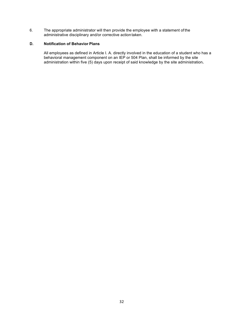6. The appropriate administrator will then provide the employee with a statement of the administrative disciplinary and/or corrective action taken.

#### **D. Notification of Behavior Plans**

All employees as defined in Article I. A. directly involved in the education of a student who has a behavioral management component on an IEP or 504 Plan, shall be informed by the site administration within five (5) days upon receipt of said knowledge by the site administration**.**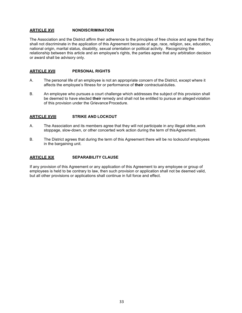#### **ARTICLE XVI NONDISCRIMINATION**

The Association and the District affirm their adherence to the principles of free choice and agree that they shall not discriminate in the application of this Agreement because of age, race, religion, sex, education, national origin, marital status, disability, sexual orientation or political activity. Recognizing the relationship between this article and an employee's rights, the parties agree that any arbitration decision or award shall be advisory only.

#### **ARTICLE XVII PERSONAL RIGHTS**

- A. The personal life of an employee is not an appropriate concern of the District, except where it affects the employee's fitness for or performance of **their** contractualduties.
- B. An employee who pursues a court challenge which addresses the subject of this provision shall be deemed to have elected **their** remedy and shall not be entitled to pursue an allegedviolation of this provision under the Grievance Procedure.

#### **ARTICLE XVIII STRIKE AND LOCKOUT**

- A. The Association and its members agree that they will not participate in any illegal strike,work stoppage, slow-down, or other concerted work action during the term of this Agreement.
- B. The District agrees that during the term of this Agreement there will be no lockoutof employees in the bargaining unit.

#### **ARTICLE XIX SEPARABILITY CLAUSE**

If any provision of this Agreement or any application of this Agreement to any employee or group of employees is held to be contrary to law, then such provision or application shall not be deemed valid, but all other provisions or applications shall continue in full force and effect.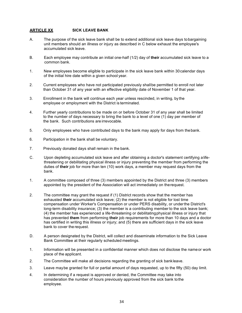#### **ARTICLE XX SICK LEAVE BANK**

- A. The purpose of the sick leave bank shall be to extend additional sick leave days tobargaining unit members should an illness or injury as described in C below exhaust the employee's accumulated sick leave.
- B. Each employee may contribute an initial one-half (1/2) day of **their** accumulated sick leave to a common bank.
- 1. New employees become eligible to participate in the sick leave bank within 30calendar days of the initial hire date within a given school year.
- 2. Current employees who have not participated previously shallbe permitted to enroll not later than October 31 of any year with an effective eligibility date of November 1 of that year.
- 3. Enrollment in the bank will continue each year unless rescinded, in writing, by the employee or employment with the District is terminated.
- 4. Further yearly contributions to be made on or before October 31 of any year shall be limited to the number of days necessary to bring the bank to a level of one (1) day per member of the bank. Such contributions are irrevocable.
- 5. Only employees who have contributed days to the bank may apply for days from thebank.
- 6. Participation in the bank shall be voluntary.
- 7. Previously donated days shall remain in the bank.
- C. Upon depleting accumulated sick leave and after obtaining a doctor's statement certifying alifethreatening or debilitating physical illness or injury preventing the member from performing the duties of **their** job for more than ten (10) work days, a member may request days from the bank.
- 1. A committee composed of three (3) members appointed by the District and three (3) members appointed by the president of the Association will act immediately on therequest.
- 2. The committee may grant the request if (1) District records show that the member has exhausted **their** accumulated sick leave; (2) the member is not eligible for lost time compensation under Worker's Compensation or under PERS disability, or underthe District's long-term disability insurance; (3) the member is a contributing member to the sick leave bank; (4) the member has experienced a life-threatening or debilitatingphysical illness or injury that has prevented **them** from performing **their** job requirements for more than 10 days and a doctor has certified in writing this illness or injury; and (5) there are sufficient days in the sick leave bank to cover the request.
- D. A person designated by the District, will collect and disseminate information to the Sick Leave Bank Committee at their regularly scheduled meetings.
- 1. Information will be presented in a confidential manner which does not disclose the nameor work place of the applicant.
- 2. The Committee will make all decisions regarding the granting of sick bankleave.
- 3. Leave maybe granted for full or partial amount of days requested, up to the fifty (50) day limit.
- 4. In determining if a request is approved or denied, the Committee may take into consideration the number of hours previously approved from the sick bank tothe employee.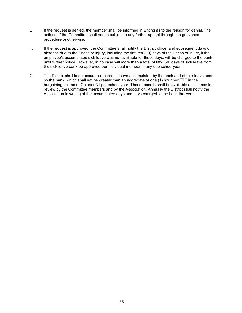- E. If the request is denied, the member shall be informed in writing as to the reason for denial. The actions of the Committee shall not be subject to any further appeal through the grievance procedure or otherwise.
- F. If the request is approved, the Committee shall notify the District office, and subsequent days of absence due to the illness or injury, including the first ten (10) days of the illness or injury, if the employee's accumulated sick leave was not available for those days, will be charged to the bank until further notice. However, in no case will more than a total of fifty (50) days of sick leave from the sick leave bank be approved per individual member in any one school year.
- G. The District shall keep accurate records of leave accumulated by the bank and of sick leave used by the bank, which shall not be greater than an aggregate of one (1) hour per FTE in the bargaining unit as of October 31 per school year. These records shall be available at all times for review by the Committee members and by the Association. Annually the District shall notify the Association in writing of the accumulated days and days charged to the bank that year.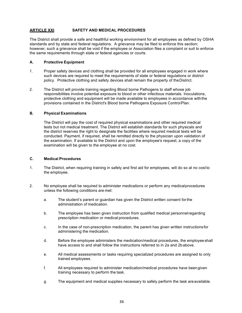#### **ARTICLE XXI SAFETY AND MEDICAL PROCEDURES**

The District shall provide a safe and healthful working environment for all employees as defined by OSHA standards and by state and federal regulations. A grievance may be filed to enforce this section; however, such a grievance shall be void if the employee or Association files a complaint or suit to enforce the same requirements through state or federal agencies or courts.

#### **A. Protective Equipment**

- 1. Proper safety devices and clothing shall be provided for all employees engaged in work where such devices are required to meet the requirements of state or federal regulations or district policy. Protective clothing and safety devices shall remain the property of theDistrict.
- 2. The District will provide training regarding Blood borne Pathogens to staff whose job responsibilities involve potential exposure to blood or other infectious materials. Inoculations, protective clothing and equipment will be made available to employees in accordance withthe provisions contained in the District's Blood borne Pathogens Exposure ControlPlan.

#### **B. Physical Examinations**

The District will pay the cost of required physical examinations and other required medical tests but not medical treatment. The District will establish standards for such physicals and the district reserves the right to designate the facilities where required medical tests will be conducted. Payment, if required, shall be remitted directly to the physician upon validation of the examination. If available to the District and upon the employee's request, a copy of the examination will be given to the employee at no cost.

#### **C. Medical Procedures**

- 1. The District, when requiring training in safety and first aid for employees, will do so at no cost to the employee.
- 2. No employee shall be required to administer medications or perform any medicalprocedures unless the following conditions are met:
	- a. The student's parent or guardian has given the District written consent forthe administration of medication.
	- b. The employee has been given instruction from qualified medical personnelregarding prescription medication or medical procedures.
	- c. In the case of non-prescription medication, the parent has given written instructionsfor administering the medication.
	- d. Before the employee administers the medication/medical procedures, the employeeshall have access to and shall follow the instructions referred to in 2a and 2babove.
	- e. All medical assessments or tasks requiring specialized procedures are assigned to only trained employees.
	- f. All employees required to administer medication/medical procedures have beengiven training necessary to perform the task.
	- g. The equipment and medical supplies necessary to safely perform the task areavailable.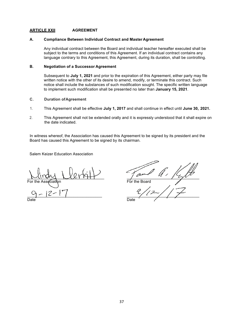#### **ARTICLE XXII AGREEMENT**

#### **A. Compliance Between Individual Contract and Master Agreement**

Any individual contract between the Board and individual teacher hereafter executed shall be subject to the terms and conditions of this Agreement. If an individual contract contains any language contrary to this Agreement, this Agreement, during its duration, shall be controlling.

#### **B. Negotiation of a Successor Agreement**

Subsequent to **July 1, 2021** and prior to the expiration of this Agreement, either party may file written notice with the other of its desire to amend, modify, or terminate this contract. Such notice shall include the substances of such modification sought. The specific written language to implement such modification shall be presented no later than **January 15, 2021**.

#### **C. Duration ofAgreement**

- 1. This Agreement shall be effective **July 1, 2017** and shall continue in effect until **June 30, 2021.**
- 2. This Agreement shall not be extended orally and it is expressly understood that it shall expire on the date indicated.

In witness whereof, the Association has caused this Agreement to be signed by its president and the Board has caused this Agreement to be signed by its chairman.

Salem Keizer Education Association

 $\sim$ **For the Board** \_\_\_\_\_\_\_\_\_\_\_\_\_\_\_\_\_\_\_\_\_\_\_\_\_\_\_\_\_\_\_\_\_\_ \_\_\_\_\_\_\_\_\_\_\_\_\_\_\_\_\_\_\_\_\_\_\_\_\_\_\_\_\_\_\_\_\_

Date **Date** Date **Date**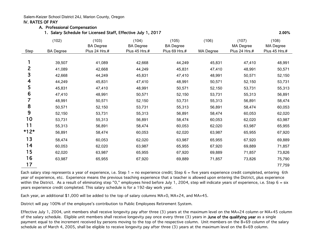Salem-Keizer School District 24J, Marion County, Oregon

#### IV. RATES OF PAY

#### A. Professional Compensation

1. Salary Schedule for Licensed Staff, Effective July 1, 2017 **2.00%**

|                | (102)            | (103)<br><b>BA</b> Degree | (104)<br><b>BA Degree</b> | (105)<br><b>BA Degree</b> | (106)     | (107)<br>MA Degree | (108)<br>MA Degree |
|----------------|------------------|---------------------------|---------------------------|---------------------------|-----------|--------------------|--------------------|
| Step           | <b>BA Degree</b> | Plus 24 Hrs.#             | Plus 45 Hrs.#             | Plus 69 Hrs.#             | MA Degree | Plus 24 Hrs.#      | Plus 45 Hrs.#      |
|                | 39,507           | 41,089                    | 42,668                    | 44,249                    | 45,831    | 47,410             | 48,991             |
| $\overline{2}$ | 41,089           | 42,668                    | 44,249                    | 45,831                    | 47,410    | 48,991             | 50,571             |
| 3              | 42,668           | 44,249                    | 45,831                    | 47,410                    | 48,991    | 50,571             | 52,150             |
| 4              | 44,249           | 45,831                    | 47,410                    | 48,991                    | 50,571    | 52,150             | 53,731             |
| 5              | 45,831           | 47,410                    | 48,991                    | 50,571                    | 52,150    | 53,731             | 55,313             |
| 6              | 47,410           | 48,991                    | 50,571                    | 52,150                    | 53,731    | 55,313             | 56,891             |
| 7              | 48,991           | 50,571                    | 52,150                    | 53,731                    | 55,313    | 56,891             | 58,474             |
| 8              | 50,571           | 52,150                    | 53,731                    | 55,313                    | 56,891    | 58,474             | 60,053             |
| 9              | 52,150           | 53,731                    | 55,313                    | 56,891                    | 58,474    | 60,053             | 62,020             |
| 10             | 53,731           | 55,313                    | 56,891                    | 58,474                    | 60,053    | 62,020             | 63,987             |
| 11             | 55,313           | 56,891                    | 58,474                    | 60,053                    | 62,020    | 63,987             | 65,955             |
| $*12*$         | 56,891           | 58,474                    | 60,053                    | 62,020                    | 63,987    | 65,955             | 67,920             |
| 13             | 58,474           | 60,053                    | 62,020                    | 63,987                    | 65,955    | 67,920             | 69,889             |
| 14             | 60,053           | 62,020                    | 63,987                    | 65,955                    | 67,920    | 69,889             | 71,857             |
| 15             | 62,020           | 63,987                    | 65,955                    | 67,920                    | 69,889    | 71,857             | 73,826             |
| 16             | 63,987           | 65,955                    | 67,920                    | 69,889                    | 71,857    | 73,826             | 75,790             |
| 17             |                  |                           |                           |                           |           |                    | 77,759             |

Each salary step represents a year of experience, i.e. Step 1 = no experience credit; Step 6 = five years experience credit completed, entering 6th year of experience, etc. Experience means the previous teaching experience that a teacher is allowed upon entering the District, plus experience within the District. As a result of eliminating step "0," employees hired before July 1, 2004, step will indicate years of experience, i.e. Step 6 = six years experience credit completed. This salary schedule is for a 192-day work year.

Each year, an additional \$1,000 will be added to the top of salary columns MA+0, MA+24, and MA+45.

District will pay 100% of the employee's contribution to Public Employees Retirement System.

Effective July 1, 2004, unit members shall receive longevity pay after three (3) years at the maximum level on the MA+24 column or MA+45 column of the salary schedule. Eligible unit members shall receive longevity pay once every three (3) years in June of the qualifying year as a single payment equal to the increment received by persons moving to the top of the respective column. Unit members on the B+69 column of the salary schedule as of March 4, 2005, shall be eligible to receive longevity pay after three (3) years at the maximum level on the B+69 column.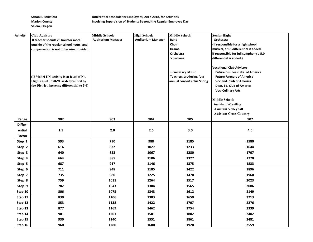School District 24J **Differential Schedule for Employees, 2017-2018, for Activities Marion County County Involving Supervision of Students Beyond the Regular Employee Day** 

| <b>Activity</b> | <b>Club Advisor:</b>                                                                                                             | <b>Middle School:</b>     | <b>High School:</b>       | Middle School:                                                                           | <b>Senior High:</b>                                                                                                                                                                                     |
|-----------------|----------------------------------------------------------------------------------------------------------------------------------|---------------------------|---------------------------|------------------------------------------------------------------------------------------|---------------------------------------------------------------------------------------------------------------------------------------------------------------------------------------------------------|
|                 | If teacher spends 25 hoursor more                                                                                                | <b>Auditorium Manager</b> | <b>Auditorium Manager</b> | Band                                                                                     | Orchestra                                                                                                                                                                                               |
|                 | outside of the regular school hours, and                                                                                         |                           |                           | Choir                                                                                    | (If responsible for a high school                                                                                                                                                                       |
|                 | compensation is not otherwise provided.                                                                                          |                           |                           | <b>Drama</b>                                                                             | musical, a 1.5 differential is added,                                                                                                                                                                   |
|                 |                                                                                                                                  |                           |                           | Orchestra                                                                                | if responsible for full symphony a 5.0                                                                                                                                                                  |
|                 |                                                                                                                                  |                           |                           | Yearbook                                                                                 | differential is added.)                                                                                                                                                                                 |
|                 | (If Model UN activity is at level of No.<br>High's as of 1990-91 as determined by<br>the District, increase differential to 5.0) |                           |                           | <b>Elementary Music</b><br><b>Teachers producing four</b><br>annual concerts plus Spring | <b>Vocational Club Advisors:</b><br><b>Future Business Ldrs. of America</b><br><b>Future Farmers of America</b><br>Voc. Ind. Club of America<br>Distr. Ed. Club of America<br><b>Voc. Culinary Arts</b> |
|                 |                                                                                                                                  |                           |                           |                                                                                          | <b>Middle School:</b>                                                                                                                                                                                   |
|                 |                                                                                                                                  |                           |                           |                                                                                          | <b>Assistant Wrestling</b>                                                                                                                                                                              |
|                 |                                                                                                                                  |                           |                           |                                                                                          | <b>Assistant Volleyball</b>                                                                                                                                                                             |
|                 |                                                                                                                                  |                           |                           |                                                                                          | <b>Assistant Cross Country</b>                                                                                                                                                                          |
| Range           | 902                                                                                                                              | 903                       | 904                       | 905                                                                                      | 907                                                                                                                                                                                                     |
| Differ-         |                                                                                                                                  |                           |                           |                                                                                          |                                                                                                                                                                                                         |
| ential          | $1.5\,$                                                                                                                          | 2.0                       | 2.5                       | 3.0                                                                                      | 4.0                                                                                                                                                                                                     |
| Factor          |                                                                                                                                  |                           |                           |                                                                                          |                                                                                                                                                                                                         |
| Step 1          | 593                                                                                                                              | 790                       | 988                       | 1185                                                                                     | 1580                                                                                                                                                                                                    |
| Step 2          | 616                                                                                                                              | 822                       | 1027                      | 1233                                                                                     | 1644                                                                                                                                                                                                    |
| Step 3          | 640                                                                                                                              | 853                       | 1067                      | 1280                                                                                     | 1707                                                                                                                                                                                                    |
| Step 4          | 664                                                                                                                              | 885                       | 1106                      | 1327                                                                                     | 1770                                                                                                                                                                                                    |
| Step 5          | 687                                                                                                                              | 917                       | 1146                      | 1375                                                                                     | 1833                                                                                                                                                                                                    |
| Step 6          | 711                                                                                                                              | 948                       | 1185                      | 1422                                                                                     | 1896                                                                                                                                                                                                    |
| Step 7          | 735                                                                                                                              | 980                       | 1225                      | 1470                                                                                     | 1960                                                                                                                                                                                                    |
| Step 8          | 759                                                                                                                              | 1011                      | 1264                      | 1517                                                                                     | 2023                                                                                                                                                                                                    |
| Step 9          | 782                                                                                                                              | 1043                      | 1304                      | 1565                                                                                     | 2086                                                                                                                                                                                                    |
| Step 10         | 806                                                                                                                              | 1075                      | 1343                      | 1612                                                                                     | 2149                                                                                                                                                                                                    |
| Step 11         | 830                                                                                                                              | 1106                      | 1383                      | 1659                                                                                     | 2213                                                                                                                                                                                                    |
| Step 12         | 853                                                                                                                              | 1138                      | 1422                      | 1707                                                                                     | 2276                                                                                                                                                                                                    |
| Step 13         | 877                                                                                                                              | 1169                      | 1462                      | 1754                                                                                     | 2339                                                                                                                                                                                                    |
| Step 14         | 901                                                                                                                              | 1201                      | 1501                      | 1802                                                                                     | 2402                                                                                                                                                                                                    |
| Step 15         | 930                                                                                                                              | 1240                      | 1551                      | 1861                                                                                     | 2481                                                                                                                                                                                                    |
| Step 16         | 960                                                                                                                              | 1280                      | 1600                      | 1920                                                                                     | 2559                                                                                                                                                                                                    |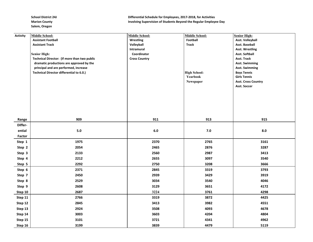| <b>Activity</b> | <b>Middle School:</b>                        | <b>Middle School:</b> | Middle School:      | <b>Senior High:</b>        |
|-----------------|----------------------------------------------|-----------------------|---------------------|----------------------------|
|                 | <b>Assistant Football</b>                    | Wrestling             | Football            | <b>Asst. Volleyball</b>    |
|                 | <b>Assistant Track</b>                       | Volleyball            | <b>Track</b>        | Asst. Baseball             |
|                 |                                              | Intramural            |                     | <b>Asst. Wrestling</b>     |
|                 | <b>Senior High:</b>                          | Coordinator           |                     | Asst. Softball             |
|                 | Technical Director: (If more than two public | <b>Cross Country</b>  |                     | Asst. Track                |
|                 | dramatic productions are approved by the     |                       |                     | <b>Asst. Swimming</b>      |
|                 | principal and are performed, increase        |                       |                     | <b>Asst. Swimming</b>      |
|                 | Technical Director differential to 6.0.)     |                       | <b>High School:</b> | <b>Boys Tennis</b>         |
|                 |                                              |                       | Yearbook            | <b>Girls Tennis</b>        |
|                 |                                              |                       | Newspaper           | <b>Asst. Cross Country</b> |
|                 |                                              |                       |                     | Asst. Soccer               |
|                 |                                              |                       |                     |                            |
|                 |                                              |                       |                     |                            |
|                 |                                              |                       |                     |                            |
|                 |                                              |                       |                     |                            |
|                 |                                              |                       |                     |                            |
| Range           | 909                                          | 911                   | 913                 | 915                        |
| Differ-         |                                              |                       |                     |                            |
| ential          | $5.0\,$                                      | $6.0\,$               | $7.0$               | 8.0                        |
| Factor          |                                              |                       |                     |                            |
| Step 1          | 1975                                         | 2370                  | 2765                | 3161                       |
| Step 2          | 2054                                         | 2465                  | 2876                | 3287                       |
| Step 3          | 2133                                         | 2560                  | 2987                | 3413                       |
| Step 4          | 2212                                         | 2655                  | 3097                | 3540                       |
| Step 5          | 2292                                         | 2750                  | 3208                | 3666                       |
| Step 6          | 2371                                         | 2845                  | 3319                | 3793                       |
| Step 7          | 2450                                         | 2939                  | 3429                | 3919                       |
| Step 8          | 2529                                         | 3034                  | 3540                | 4046                       |
| Step 9          | 2608                                         | 3129                  | 3651                | 4172                       |
| Step 10         | 2687                                         | 3224                  | 3761                | 4298                       |
| Step 11         | 2766                                         | 3319                  | 3872                | 4425                       |
| Step 12         | 2845                                         | 3413                  | 3982                | 4551                       |
| Step 13         | 2924                                         | 3508                  | 4093                | 4678                       |
| Step 14         | 3003                                         | 3603                  | 4204                | 4804                       |
| Step 15         | 3101                                         | 3721                  | 4341                | 4962                       |
| Step 16         | 3199                                         | 3839                  | 4479                | 5119                       |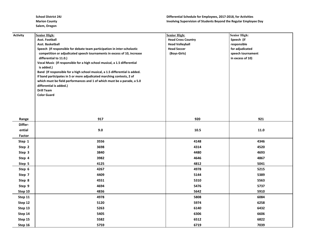| <b>Activity</b>  | <b>Senior High:</b>                                                                                 | <b>Senior High:</b>       | <b>Senior High:</b> |
|------------------|-----------------------------------------------------------------------------------------------------|---------------------------|---------------------|
|                  | <b>Asst. Football</b>                                                                               | <b>Head Cross Country</b> | Speech (if          |
|                  | Asst. Basketball                                                                                    | <b>Head Volleyball</b>    | responsible         |
|                  | Speech (If responsible for debate team participation in inter-scholastic                            | <b>Head Soccer</b>        | for adjudicated     |
|                  | competition or adjudicated speech tournaments in excess of 10, increase                             | (Boys-Girls)              | speech tournament   |
|                  | differential to 11.0.)<br>Vocal Music (If responsible for a high school musical, a 1.5 differential |                           | in excess of 10)    |
|                  | is added.)                                                                                          |                           |                     |
|                  | Band (If responsible for a high school musical, a 1.5 differential is added.                        |                           |                     |
|                  | If band participates in 5 or more adjudicated marching contests, 2 of                               |                           |                     |
|                  | which must be field performances and 1 of which must be a parade, a 5.0                             |                           |                     |
|                  | differential is added.)                                                                             |                           |                     |
|                  | <b>Drill Team</b>                                                                                   |                           |                     |
|                  | <b>Color Guard</b>                                                                                  |                           |                     |
|                  |                                                                                                     |                           |                     |
|                  |                                                                                                     |                           |                     |
|                  |                                                                                                     |                           |                     |
|                  |                                                                                                     |                           |                     |
| Range<br>Differ- | 917                                                                                                 | 920                       | 921                 |
|                  |                                                                                                     |                           |                     |
| ential           | 9.0                                                                                                 | 10.5                      | 11.0                |
| Factor           |                                                                                                     |                           |                     |
| Step 1           | 3556                                                                                                | 4148                      | 4346                |
| Step 2           | 3698                                                                                                | 4314                      | 4520                |
| Step 3           | 3840                                                                                                | 4480                      | 4693                |
| Step 4           | 3982                                                                                                | 4646                      | 4867                |
| Step 5           | 4125                                                                                                | 4812                      | 5041                |
| Step 6           | 4267                                                                                                | 4978                      | 5215                |
| Step 7           | 4409                                                                                                | 5144                      | 5389                |
| Step 8           | 4551                                                                                                | 5310                      | 5563                |
| Step 9           | 4694                                                                                                | 5476                      | 5737                |
| Step 10          | 4836                                                                                                | 5642                      | 5910                |
| Step 11          | 4978                                                                                                | 5808                      | 6084                |
| Step 12          | 5120                                                                                                | 5974                      | 6258                |
| Step 13          | 5263                                                                                                | 6140                      | 6432                |
| Step 14          | 5405                                                                                                | 6306                      | 6606                |
| Step 15          | 5582                                                                                                | 6512                      | 6822                |
| Step 16          | 5759                                                                                                | 6719                      | 7039                |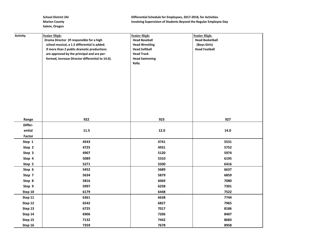School District 24J **Differential Schedule for Employees, 2017-2018, for Activities Marion County Marion County** *Involving Supervision of Students Beyond the Regular Employee Day* 

| <b>Activity</b> | <b>Senior High:</b>                              | <b>Senior High:</b>   | <b>Senior High:</b>    |
|-----------------|--------------------------------------------------|-----------------------|------------------------|
|                 | Drama Director (If responsible for a high        | <b>Head Baseball</b>  | <b>Head Basketball</b> |
|                 | school musical, a 1.5 differential is added.     | <b>Head Wrestling</b> | (Boys-Girls)           |
|                 | If more than 2 public dramatic productions       | <b>Head Softball</b>  | <b>Head Football</b>   |
|                 | are approved by the principal and are per-       | <b>Head Track</b>     |                        |
|                 | formed, increase Director differential to 14.0). | <b>Head Swimming</b>  |                        |
|                 |                                                  | Rally                 |                        |
|                 |                                                  |                       |                        |
|                 |                                                  |                       |                        |
|                 |                                                  |                       |                        |
|                 |                                                  |                       |                        |
|                 |                                                  |                       |                        |
|                 |                                                  |                       |                        |
|                 |                                                  |                       |                        |
|                 |                                                  |                       |                        |
|                 |                                                  |                       |                        |
| Range           | 922                                              | 923                   | 927                    |
| Differ-         |                                                  |                       |                        |
| ential          | 11.5                                             | 12.0                  | 14.0                   |
| Factor          |                                                  |                       |                        |
| Step 1          | 4543                                             | 4741                  | 5531                   |
| Step 2          | 4725                                             | 4931                  | 5752                   |
| Step 3          | 4907                                             | 5120                  | 5974                   |
| Step 4          | 5089                                             | 5310                  | 6195                   |
| Step 5          | 5271                                             | 5500                  | 6416                   |
| Step 6          | 5452                                             | 5689                  | 6637                   |
| Step 7          | 5634                                             | 5879                  | 6859                   |
| Step 8          | 5816                                             | 6069                  | 7080                   |
| Step 9          | 5997                                             | 6258                  | 7301                   |
| Step 10         | 6179                                             | 6448                  | 7522                   |
| Step 11         | 6361                                             | 6638                  | 7744                   |
| Step 12         | 6542                                             | 6827                  | 7965                   |
| Step 13         | 6725                                             | 7017                  | 8186                   |
| Step 14         | 6906                                             | 7206                  | 8407                   |
| Step 15         | 7132                                             | 7442                  | 8683                   |
| Step 16         | 7359                                             | 7678                  | 8958                   |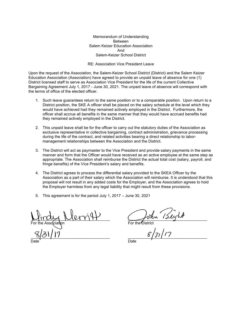Memorandum of Understanding Between Salem Keizer Education Association And Salem-Keizer School District

RE: Association Vice President Leave

Upon the request of the Association, the Salem-Keizer School District (District) and the Salem Keizer Education Association (Association) have agreed to provide an unpaid leave of absence for one (1) District licensed staff to serve as Association Vice President for the life of the current Collective Bargaining Agreement July 1, 2017 - June 30, 2021. The unpaid leave of absence will correspond with the terms of office of the elected officer.

- 1. Such leave guarantees return to the same position or to a comparable position. Upon return to a District position, the SKE A officer shall be placed on the salary schedule at the level which they would have achieved had they remained actively employed in the District. Furthermore, the officer shall accrue all benefits in the same manner that they would have accrued benefits had they remained actively employed in the District.
- 2. This unpaid leave shall be for the officer to carry out the statutory duties of the Association as exclusive representative in collective bargaining, contract administration, grievance processing during the life of the contract, and related activities bearing a direct relationship to labormanagement relationships between the Association and the District.
- 3. The District will act as paymaster to the Vice President and provide salary payments in the same manner and form that the Officer would have received as an active employee at the same step as appropriate. The Association shall reimburse the District the actual total cost (salary, payroll, and fringe benefits) of the Vice President's salary and benefits.
- 4. The District agrees to process the differential salary provided to the SKEA Officer by the Association as a part of their salary which the Association will reimburse. It is understood that this proposal will not result in any added costs for the Employer, and the Association agrees to hold the Employer harmless from any legal liability that might result from these provisions.
- 5. This agreement is for the period July 1, 2017 June 30, 2021

 $\Box$ For the Association For the District

 $\frac{1}{2}$ 

Date Date Date Date Date Date Date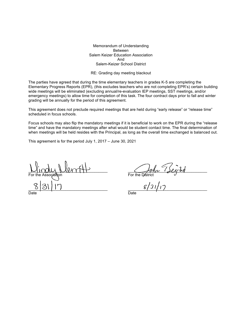Memorandum of Understanding Between Salem Keizer Education Association And Salem-Keizer School District

RE: Grading day meeting blackout

The parties have agreed that during the time elementary teachers in grades K-5 are completing the Elementary Progress Reports (EPR), (this excludes teachers who are not completing EPR's) certain building wide meetings will be eliminated (excluding annual/re-evaluation IEP meetings, SST meetings, and/or emergency meetings) to allow time for completion of this task. The four contract days prior to fall and winter grading will be annually for the period of this agreement.

This agreement does not preclude required meetings that are held during "early release" or "release time" scheduled in focus schools.

Focus schools may also flip the mandatory meetings if it is beneficial to work on the EPR during the "release time" and have the mandatory meetings after what would be student contact time. The final determination of when meetings will be held resides with the Principal, as long as the overall time exchanged is balanced out.

This agreement is for the period July 1, 2017 – June 30, 2021

\_\_\_\_\_\_\_\_\_\_\_\_\_\_\_\_\_\_\_\_\_\_\_\_\_\_\_\_\_\_\_\_\_\_\_\_ \_\_\_\_\_\_\_\_\_\_\_\_\_\_\_\_\_\_\_\_\_\_\_\_\_\_\_\_\_\_\_\_\_\_\_\_ For the Association For the District  $\frac{8}{7}$ 

Date **Date** Date **Date** Date **Date**